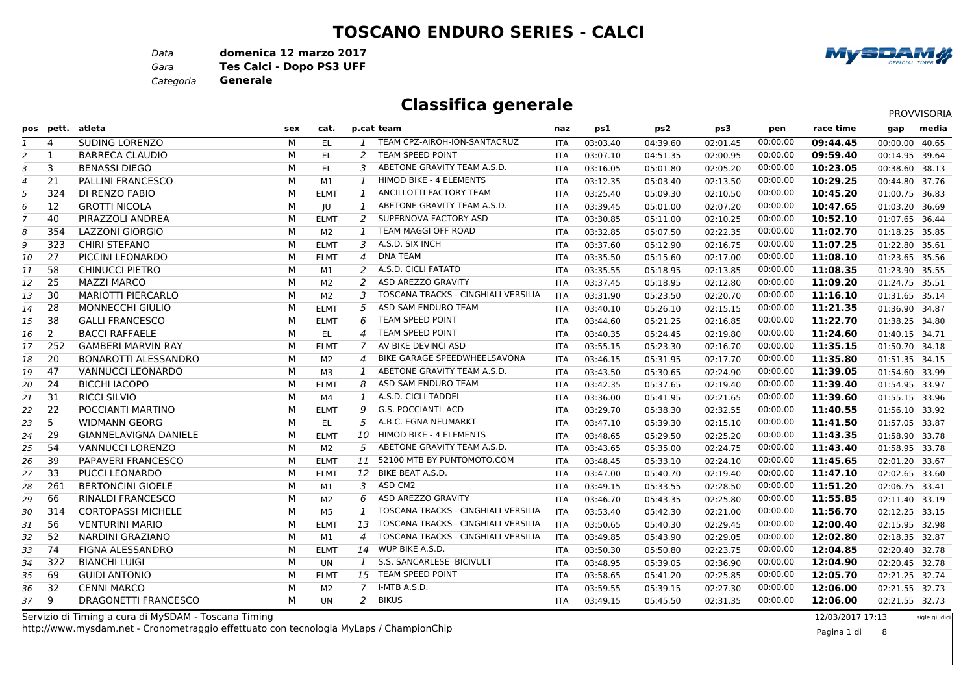#### **TOSCANO ENDURO SERIES - CALCI**

*Data***domenica 12 marzo 2017**

*Gara* **Tes Calci - Dopo PS3 UFF**

*Categoria***Generale**

### **Classifica generale**

| SUDING LORENZO<br>М<br>TEAM CPZ-AIROH-ION-SANTACRUZ<br>00:00.00<br>09:44.45<br>4<br>EL.<br>03:03.40<br>04:39.60<br>02:01.45<br>00:00.00 40.65<br><b>ITA</b><br>M<br><b>TEAM SPEED POINT</b><br>00:00.00<br>$\mathbf{1}$<br><b>BARRECA CLAUDIO</b><br>$\mathcal{P}$<br>09:59.40<br>EL.<br><b>ITA</b><br>03:07.10<br>04:51.35<br>02:00.95<br>00:14.95 39.64<br>2<br>3<br><b>BENASSI DIEGO</b><br>М<br>ABETONE GRAVITY TEAM A.S.D.<br>00:00.00<br>10:23.05<br>EL.<br>3<br>00:38.60 38.13<br><b>ITA</b><br>03:16.05<br>05:01.80<br>02:05.20<br>3<br>M<br>21<br>HIMOD BIKE - 4 ELEMENTS<br>10:29.25<br><b>PALLINI FRANCESCO</b><br>M1<br>$\mathcal{I}$<br>02:13.50<br>00:00.00<br>00:44.80 37.76<br><b>ITA</b><br>03:12.35<br>05:03.40<br>4<br>324<br>M<br>ANCILLOTTI FACTORY TEAM<br>00:00.00<br>DI RENZO FABIO<br><b>ELMT</b><br>$\mathbf{1}$<br>10:45.20<br>01:00.75 36.83<br><b>ITA</b><br>03:25.40<br>05:09.30<br>02:10.50<br>5<br>M<br>ABETONE GRAVITY TEAM A.S.D.<br>12<br>00:00.00<br><b>GROTTI NICOLA</b><br>JU<br>$\mathbf{1}$<br>10:47.65<br>01:03.20 36.69<br><b>ITA</b><br>03:39.45<br>05:01.00<br>02:07.20<br>6<br>40<br>M<br>PIRAZZOLI ANDREA<br>2<br>SUPERNOVA FACTORY ASD<br>00:00.00<br>10:52.10<br><b>ELMT</b><br>05:11.00<br>02:10.25<br>01:07.65 36.44<br><b>ITA</b><br>03:30.85<br>TEAM MAGGI OFF ROAD<br>354<br><b>LAZZONI GIORGIO</b><br>М<br>00:00.00<br>11:02.70<br>M <sub>2</sub><br>$\mathbf{1}$<br>02:22.35<br>01:18.25 35.85<br>03:32.85<br>05:07.50<br>8<br>ITA<br>323<br>A.S.D. SIX INCH<br>00:00.00<br><b>CHIRI STEFANO</b><br>M<br>3<br>11:07.25<br><b>ELMT</b><br>03:37.60<br>05:12.90<br>02:16.75<br>01:22.80 35.61<br><b>ITA</b><br>9<br>27<br>М<br>$\overline{4}$<br><b>DNA TEAM</b><br>11:08.10<br>PICCINI LEONARDO<br><b>ELMT</b><br>00:00.00<br>01:23.65 35.56<br><b>ITA</b><br>03:35.50<br>05:15.60<br>02:17.00<br>10<br>58<br>A.S.D. CICLI FATATO<br><b>CHINUCCI PIETRO</b><br>М<br>2<br>00:00.00<br>11:08.35<br>M1<br>01:23.90 35.55<br><b>ITA</b><br>03:35.55<br>05:18.95<br>02:13.85<br>11<br>25<br>M<br>2<br>ASD AREZZO GRAVITY<br>00:00.00<br><b>MAZZI MARCO</b><br>M <sub>2</sub><br>11:09.20<br>03:37.45<br>05:18.95<br>02:12.80<br>01:24.75 35.51<br>12<br><b>ITA</b><br>M<br>30<br><b>MARIOTTI PIERCARLO</b><br>3<br>TOSCANA TRACKS - CINGHIALI VERSILIA<br>00:00.00<br>M <sub>2</sub><br>11:16.10<br>01:31.65 35.14<br><b>ITA</b><br>03:31.90<br>05:23.50<br>02:20.70<br>13<br>28<br>M<br>5<br>ASD SAM ENDURO TEAM<br>00:00.00<br>11:21.35<br><b>MONNECCHI GIULIO</b><br><b>ELMT</b><br>01:36.90 34.87<br><b>ITA</b><br>03:40.10<br>05:26.10<br>02:15.15<br>14<br><b>TEAM SPEED POINT</b><br>38<br>М<br>00:00.00<br>11:22.70<br><b>GALLI FRANCESCO</b><br><b>ELMT</b><br>6<br>01:38.25 34.80<br>05:21.25<br>02:16.85<br>15<br>ITA<br>03:44.60<br>M<br>2<br><b>BACCI RAFFAELE</b><br>EL.<br><b>TEAM SPEED POINT</b><br>11:24.60<br>$\overline{4}$<br>05:24.45<br>00:00.00<br>01:40.15 34.71<br>16<br><b>ITA</b><br>03:40.35<br>02:19.80<br>AV BIKE DEVINCI ASD<br>00:00.00<br>252<br><b>GAMBERI MARVIN RAY</b><br>M<br>$\overline{7}$<br>11:35.15<br>01:50.70 34.18<br><b>ELMT</b><br><b>ITA</b><br>03:55.15<br>05:23.30<br>02:16.70<br>17<br><b>BONAROTTI ALESSANDRO</b><br>BIKE GARAGE SPEEDWHEELSAVONA<br>11:35.80<br>20<br>м<br>M <sub>2</sub><br>00:00.00<br>01:51.35 34.15<br>$\overline{4}$<br><b>ITA</b><br>03:46.15<br>05:31.95<br>02:17.70<br>18<br>M<br>47<br><b>VANNUCCI LEONARDO</b><br>ABETONE GRAVITY TEAM A.S.D.<br>00:00.00<br>11:39.05<br>$\mathbf{1}$<br>мз<br>02:24.90<br>01:54.60 33.99<br><b>ITA</b><br>03:43.50<br>05:30.65<br>19<br>M<br>ASD SAM ENDURO TEAM<br>00:00.00<br>24<br><b>BICCHI IACOPO</b><br><b>ELMT</b><br>8<br>11:39.40<br>01:54.95 33.97<br><b>ITA</b><br>03:42.35<br>05:37.65<br>02:19.40<br>20<br>M<br>31<br><b>RICCI SILVIO</b><br>A.S.D. CICLI TADDEI<br>00:00.00<br>11:39.60<br>M4<br>$\mathbf{1}$<br>01:55.15 33.96<br>21<br><b>ITA</b><br>03:36.00<br>05:41.95<br>02:21.65<br>M<br>22<br>POCCIANTI MARTINO<br>9<br>G.S. POCCIANTI ACD<br>00:00.00<br>11:40.55<br><b>ELMT</b><br>05:38.30<br>02:32.55<br>01:56.10 33.92<br>22<br><b>ITA</b><br>03:29.70<br>5<br>М<br>A.B.C. EGNA NEUMARKT<br>5<br>00:00.00<br><b>WIDMANN GEORG</b><br><b>EL</b><br>11:41.50<br>01:57.05 33.87<br>23<br>ITA<br>03:47.10<br>05:39.30<br>02:15.10<br>29<br>М<br>10<br>HIMOD BIKE - 4 ELEMENTS<br>11:43.35<br><b>GIANNELAVIGNA DANIELE</b><br><b>ELMT</b><br>05:29.50<br>00:00.00<br>01:58.90 33.78<br>24<br><b>ITA</b><br>03:48.65<br>02:25.20<br>54<br>М<br>ABETONE GRAVITY TEAM A.S.D.<br>VANNUCCI LORENZO<br>5<br>00:00.00<br>11:43.40<br>M2<br><b>ITA</b><br>03:43.65<br>05:35.00<br>02:24.75<br>01:58.95 33.78<br>25<br>52100 MTB BY PUNTOMOTO.COM<br>39<br><b>PAPAVERI FRANCESCO</b><br>М<br>11<br>00:00.00<br>11:45.65<br><b>ELMT</b><br>02:01.20 33.67<br><b>ITA</b><br>03:48.45<br>05:33.10<br>02:24.10<br>26<br>M<br>BIKE BEAT A.S.D.<br>33<br><b>PUCCI LEONARDO</b><br>12<br>00:00.00<br>11:47.10<br>27<br><b>ELMT</b><br><b>ITA</b><br>03:47.00<br>05:40.70<br>02:19.40<br>02:02.65 33.60<br>M<br>ASD CM2<br>261<br><b>BERTONCINI GIOELE</b><br>3<br>00:00.00<br>11:51.20<br>02:06.75 33.41<br>28<br>M1<br><b>ITA</b><br>03:49.15<br>05:33.55<br>02:28.50<br>66<br>M<br>ASD AREZZO GRAVITY<br>00:00.00<br><b>RINALDI FRANCESCO</b><br>6<br>11:55.85<br>M <sub>2</sub><br>02:11.40 33.19<br>29<br><b>ITA</b><br>03:46.70<br>05:43.35<br>02:25.80<br>M<br>314<br>TOSCANA TRACKS - CINGHIALI VERSILIA<br><b>CORTOPASSI MICHELE</b><br>M5<br>1<br>00:00.00<br>11:56.70<br>02:12.25 33.15<br><b>ITA</b><br>03:53.40<br>05:42.30<br>02:21.00<br>30<br>56<br>M<br>TOSCANA TRACKS - CINGHIALI VERSILIA<br><b>VENTURINI MARIO</b><br>13<br>00:00.00<br>12:00.40<br><b>ELMT</b><br><b>ITA</b><br>02:29.45<br>02:15.95 32.98<br>03:50.65<br>05:40.30<br>31<br>TOSCANA TRACKS - CINGHIALI VERSILIA<br>M<br>00:00.00<br>52<br>NARDINI GRAZIANO<br>$\overline{4}$<br>12:02.80<br>M1<br><b>ITA</b><br>03:49.85<br>05:43.90<br>02:29.05<br>02:18.35 32.87<br>32<br>WUP BIKE A.S.D.<br>12:04.85<br>74<br>FIGNA ALESSANDRO<br>М<br><b>ELMT</b><br>00:00.00<br>14<br>03:50.30<br>05:50.80<br>02:23.75<br>02:20.40 32.78<br>33<br>ITA<br>M<br>322<br><b>BIANCHI LUIGI</b><br>S.S. SANCARLESE BICIVULT<br>12:04.90<br>$\mathcal{I}$<br>00:00.00<br><b>UN</b><br>02:36.90<br>02:20.45 32.78<br><b>ITA</b><br>03:48.95<br>05:39.05<br>34<br>TEAM SPEED POINT<br>M<br>00:00.00<br>69<br><b>GUIDI ANTONIO</b><br>15<br>12:05.70<br>02:21.25 32.74<br><b>ELMT</b><br><b>ITA</b><br>03:58.65<br>05:41.20<br>02:25.85<br>35<br>I-MTB A.S.D.<br>32<br>M<br>00:00.00<br>12:06.00<br><b>CENNI MARCO</b><br>7<br>02:27.30<br>02:21.55 32.73<br>M2<br><b>ITA</b><br>03:59.55<br>05:39.15<br>36<br>M<br>9<br>$\overline{a}$<br><b>BIKUS</b><br><b>DRAGONETTI FRANCESCO</b><br>00:00.00<br>12:06.00<br>02:21.55 32.73<br><b>UN</b><br>05:45.50<br>02:31.35<br>37<br><b>ITA</b><br>03:49.15 | pos pett. | atleta | sex | cat. | p.cat team | naz | ps1 | ps2 | ps3 | pen | race time | gap | media |
|-----------------------------------------------------------------------------------------------------------------------------------------------------------------------------------------------------------------------------------------------------------------------------------------------------------------------------------------------------------------------------------------------------------------------------------------------------------------------------------------------------------------------------------------------------------------------------------------------------------------------------------------------------------------------------------------------------------------------------------------------------------------------------------------------------------------------------------------------------------------------------------------------------------------------------------------------------------------------------------------------------------------------------------------------------------------------------------------------------------------------------------------------------------------------------------------------------------------------------------------------------------------------------------------------------------------------------------------------------------------------------------------------------------------------------------------------------------------------------------------------------------------------------------------------------------------------------------------------------------------------------------------------------------------------------------------------------------------------------------------------------------------------------------------------------------------------------------------------------------------------------------------------------------------------------------------------------------------------------------------------------------------------------------------------------------------------------------------------------------------------------------------------------------------------------------------------------------------------------------------------------------------------------------------------------------------------------------------------------------------------------------------------------------------------------------------------------------------------------------------------------------------------------------------------------------------------------------------------------------------------------------------------------------------------------------------------------------------------------------------------------------------------------------------------------------------------------------------------------------------------------------------------------------------------------------------------------------------------------------------------------------------------------------------------------------------------------------------------------------------------------------------------------------------------------------------------------------------------------------------------------------------------------------------------------------------------------------------------------------------------------------------------------------------------------------------------------------------------------------------------------------------------------------------------------------------------------------------------------------------------------------------------------------------------------------------------------------------------------------------------------------------------------------------------------------------------------------------------------------------------------------------------------------------------------------------------------------------------------------------------------------------------------------------------------------------------------------------------------------------------------------------------------------------------------------------------------------------------------------------------------------------------------------------------------------------------------------------------------------------------------------------------------------------------------------------------------------------------------------------------------------------------------------------------------------------------------------------------------------------------------------------------------------------------------------------------------------------------------------------------------------------------------------------------------------------------------------------------------------------------------------------------------------------------------------------------------------------------------------------------------------------------------------------------------------------------------------------------------------------------------------------------------------------------------------------------------------------------------------------------------------------------------------------------------------------------------------------------------------------------------------------------------------------------------------------------------------------------------------------------------------------------------------------------------------------------------------------------------------------------------------------------------------------------------------------------------------------------------------------------------------------------------------------------------------------------------------------------------------------------------------------------------------------------------------------------------------------------------------------------------------------------------------------------------------------------------------------------------------------------------------------------------------------------------------------------------------------------------------------------------------------------------------------------------------------------------------------------------------------------------------------------------------------------------------------------------------------------------------------------------------------------------------------------------------------------------------------------------------------------------------------------------------------------------------------------------------------------------------------------------------------------------------------------------------------------------------------------------------------------------------------------------------------------------------------------|-----------|--------|-----|------|------------|-----|-----|-----|-----|-----|-----------|-----|-------|
|                                                                                                                                                                                                                                                                                                                                                                                                                                                                                                                                                                                                                                                                                                                                                                                                                                                                                                                                                                                                                                                                                                                                                                                                                                                                                                                                                                                                                                                                                                                                                                                                                                                                                                                                                                                                                                                                                                                                                                                                                                                                                                                                                                                                                                                                                                                                                                                                                                                                                                                                                                                                                                                                                                                                                                                                                                                                                                                                                                                                                                                                                                                                                                                                                                                                                                                                                                                                                                                                                                                                                                                                                                                                                                                                                                                                                                                                                                                                                                                                                                                                                                                                                                                                                                                                                                                                                                                                                                                                                                                                                                                                                                                                                                                                                                                                                                                                                                                                                                                                                                                                                                                                                                                                                                                                                                                                                                                                                                                                                                                                                                                                                                                                                                                                                                                                                                                                                                                                                                                                                                                                                                                                                                                                                                                                                                                                                                                                                                                                                                                                                                                                                                                                                                                                                                                                                                                                                                                                               |           |        |     |      |            |     |     |     |     |     |           |     |       |
|                                                                                                                                                                                                                                                                                                                                                                                                                                                                                                                                                                                                                                                                                                                                                                                                                                                                                                                                                                                                                                                                                                                                                                                                                                                                                                                                                                                                                                                                                                                                                                                                                                                                                                                                                                                                                                                                                                                                                                                                                                                                                                                                                                                                                                                                                                                                                                                                                                                                                                                                                                                                                                                                                                                                                                                                                                                                                                                                                                                                                                                                                                                                                                                                                                                                                                                                                                                                                                                                                                                                                                                                                                                                                                                                                                                                                                                                                                                                                                                                                                                                                                                                                                                                                                                                                                                                                                                                                                                                                                                                                                                                                                                                                                                                                                                                                                                                                                                                                                                                                                                                                                                                                                                                                                                                                                                                                                                                                                                                                                                                                                                                                                                                                                                                                                                                                                                                                                                                                                                                                                                                                                                                                                                                                                                                                                                                                                                                                                                                                                                                                                                                                                                                                                                                                                                                                                                                                                                                               |           |        |     |      |            |     |     |     |     |     |           |     |       |
|                                                                                                                                                                                                                                                                                                                                                                                                                                                                                                                                                                                                                                                                                                                                                                                                                                                                                                                                                                                                                                                                                                                                                                                                                                                                                                                                                                                                                                                                                                                                                                                                                                                                                                                                                                                                                                                                                                                                                                                                                                                                                                                                                                                                                                                                                                                                                                                                                                                                                                                                                                                                                                                                                                                                                                                                                                                                                                                                                                                                                                                                                                                                                                                                                                                                                                                                                                                                                                                                                                                                                                                                                                                                                                                                                                                                                                                                                                                                                                                                                                                                                                                                                                                                                                                                                                                                                                                                                                                                                                                                                                                                                                                                                                                                                                                                                                                                                                                                                                                                                                                                                                                                                                                                                                                                                                                                                                                                                                                                                                                                                                                                                                                                                                                                                                                                                                                                                                                                                                                                                                                                                                                                                                                                                                                                                                                                                                                                                                                                                                                                                                                                                                                                                                                                                                                                                                                                                                                                               |           |        |     |      |            |     |     |     |     |     |           |     |       |
|                                                                                                                                                                                                                                                                                                                                                                                                                                                                                                                                                                                                                                                                                                                                                                                                                                                                                                                                                                                                                                                                                                                                                                                                                                                                                                                                                                                                                                                                                                                                                                                                                                                                                                                                                                                                                                                                                                                                                                                                                                                                                                                                                                                                                                                                                                                                                                                                                                                                                                                                                                                                                                                                                                                                                                                                                                                                                                                                                                                                                                                                                                                                                                                                                                                                                                                                                                                                                                                                                                                                                                                                                                                                                                                                                                                                                                                                                                                                                                                                                                                                                                                                                                                                                                                                                                                                                                                                                                                                                                                                                                                                                                                                                                                                                                                                                                                                                                                                                                                                                                                                                                                                                                                                                                                                                                                                                                                                                                                                                                                                                                                                                                                                                                                                                                                                                                                                                                                                                                                                                                                                                                                                                                                                                                                                                                                                                                                                                                                                                                                                                                                                                                                                                                                                                                                                                                                                                                                                               |           |        |     |      |            |     |     |     |     |     |           |     |       |
|                                                                                                                                                                                                                                                                                                                                                                                                                                                                                                                                                                                                                                                                                                                                                                                                                                                                                                                                                                                                                                                                                                                                                                                                                                                                                                                                                                                                                                                                                                                                                                                                                                                                                                                                                                                                                                                                                                                                                                                                                                                                                                                                                                                                                                                                                                                                                                                                                                                                                                                                                                                                                                                                                                                                                                                                                                                                                                                                                                                                                                                                                                                                                                                                                                                                                                                                                                                                                                                                                                                                                                                                                                                                                                                                                                                                                                                                                                                                                                                                                                                                                                                                                                                                                                                                                                                                                                                                                                                                                                                                                                                                                                                                                                                                                                                                                                                                                                                                                                                                                                                                                                                                                                                                                                                                                                                                                                                                                                                                                                                                                                                                                                                                                                                                                                                                                                                                                                                                                                                                                                                                                                                                                                                                                                                                                                                                                                                                                                                                                                                                                                                                                                                                                                                                                                                                                                                                                                                                               |           |        |     |      |            |     |     |     |     |     |           |     |       |
|                                                                                                                                                                                                                                                                                                                                                                                                                                                                                                                                                                                                                                                                                                                                                                                                                                                                                                                                                                                                                                                                                                                                                                                                                                                                                                                                                                                                                                                                                                                                                                                                                                                                                                                                                                                                                                                                                                                                                                                                                                                                                                                                                                                                                                                                                                                                                                                                                                                                                                                                                                                                                                                                                                                                                                                                                                                                                                                                                                                                                                                                                                                                                                                                                                                                                                                                                                                                                                                                                                                                                                                                                                                                                                                                                                                                                                                                                                                                                                                                                                                                                                                                                                                                                                                                                                                                                                                                                                                                                                                                                                                                                                                                                                                                                                                                                                                                                                                                                                                                                                                                                                                                                                                                                                                                                                                                                                                                                                                                                                                                                                                                                                                                                                                                                                                                                                                                                                                                                                                                                                                                                                                                                                                                                                                                                                                                                                                                                                                                                                                                                                                                                                                                                                                                                                                                                                                                                                                                               |           |        |     |      |            |     |     |     |     |     |           |     |       |
|                                                                                                                                                                                                                                                                                                                                                                                                                                                                                                                                                                                                                                                                                                                                                                                                                                                                                                                                                                                                                                                                                                                                                                                                                                                                                                                                                                                                                                                                                                                                                                                                                                                                                                                                                                                                                                                                                                                                                                                                                                                                                                                                                                                                                                                                                                                                                                                                                                                                                                                                                                                                                                                                                                                                                                                                                                                                                                                                                                                                                                                                                                                                                                                                                                                                                                                                                                                                                                                                                                                                                                                                                                                                                                                                                                                                                                                                                                                                                                                                                                                                                                                                                                                                                                                                                                                                                                                                                                                                                                                                                                                                                                                                                                                                                                                                                                                                                                                                                                                                                                                                                                                                                                                                                                                                                                                                                                                                                                                                                                                                                                                                                                                                                                                                                                                                                                                                                                                                                                                                                                                                                                                                                                                                                                                                                                                                                                                                                                                                                                                                                                                                                                                                                                                                                                                                                                                                                                                                               |           |        |     |      |            |     |     |     |     |     |           |     |       |
|                                                                                                                                                                                                                                                                                                                                                                                                                                                                                                                                                                                                                                                                                                                                                                                                                                                                                                                                                                                                                                                                                                                                                                                                                                                                                                                                                                                                                                                                                                                                                                                                                                                                                                                                                                                                                                                                                                                                                                                                                                                                                                                                                                                                                                                                                                                                                                                                                                                                                                                                                                                                                                                                                                                                                                                                                                                                                                                                                                                                                                                                                                                                                                                                                                                                                                                                                                                                                                                                                                                                                                                                                                                                                                                                                                                                                                                                                                                                                                                                                                                                                                                                                                                                                                                                                                                                                                                                                                                                                                                                                                                                                                                                                                                                                                                                                                                                                                                                                                                                                                                                                                                                                                                                                                                                                                                                                                                                                                                                                                                                                                                                                                                                                                                                                                                                                                                                                                                                                                                                                                                                                                                                                                                                                                                                                                                                                                                                                                                                                                                                                                                                                                                                                                                                                                                                                                                                                                                                               |           |        |     |      |            |     |     |     |     |     |           |     |       |
|                                                                                                                                                                                                                                                                                                                                                                                                                                                                                                                                                                                                                                                                                                                                                                                                                                                                                                                                                                                                                                                                                                                                                                                                                                                                                                                                                                                                                                                                                                                                                                                                                                                                                                                                                                                                                                                                                                                                                                                                                                                                                                                                                                                                                                                                                                                                                                                                                                                                                                                                                                                                                                                                                                                                                                                                                                                                                                                                                                                                                                                                                                                                                                                                                                                                                                                                                                                                                                                                                                                                                                                                                                                                                                                                                                                                                                                                                                                                                                                                                                                                                                                                                                                                                                                                                                                                                                                                                                                                                                                                                                                                                                                                                                                                                                                                                                                                                                                                                                                                                                                                                                                                                                                                                                                                                                                                                                                                                                                                                                                                                                                                                                                                                                                                                                                                                                                                                                                                                                                                                                                                                                                                                                                                                                                                                                                                                                                                                                                                                                                                                                                                                                                                                                                                                                                                                                                                                                                                               |           |        |     |      |            |     |     |     |     |     |           |     |       |
|                                                                                                                                                                                                                                                                                                                                                                                                                                                                                                                                                                                                                                                                                                                                                                                                                                                                                                                                                                                                                                                                                                                                                                                                                                                                                                                                                                                                                                                                                                                                                                                                                                                                                                                                                                                                                                                                                                                                                                                                                                                                                                                                                                                                                                                                                                                                                                                                                                                                                                                                                                                                                                                                                                                                                                                                                                                                                                                                                                                                                                                                                                                                                                                                                                                                                                                                                                                                                                                                                                                                                                                                                                                                                                                                                                                                                                                                                                                                                                                                                                                                                                                                                                                                                                                                                                                                                                                                                                                                                                                                                                                                                                                                                                                                                                                                                                                                                                                                                                                                                                                                                                                                                                                                                                                                                                                                                                                                                                                                                                                                                                                                                                                                                                                                                                                                                                                                                                                                                                                                                                                                                                                                                                                                                                                                                                                                                                                                                                                                                                                                                                                                                                                                                                                                                                                                                                                                                                                                               |           |        |     |      |            |     |     |     |     |     |           |     |       |
|                                                                                                                                                                                                                                                                                                                                                                                                                                                                                                                                                                                                                                                                                                                                                                                                                                                                                                                                                                                                                                                                                                                                                                                                                                                                                                                                                                                                                                                                                                                                                                                                                                                                                                                                                                                                                                                                                                                                                                                                                                                                                                                                                                                                                                                                                                                                                                                                                                                                                                                                                                                                                                                                                                                                                                                                                                                                                                                                                                                                                                                                                                                                                                                                                                                                                                                                                                                                                                                                                                                                                                                                                                                                                                                                                                                                                                                                                                                                                                                                                                                                                                                                                                                                                                                                                                                                                                                                                                                                                                                                                                                                                                                                                                                                                                                                                                                                                                                                                                                                                                                                                                                                                                                                                                                                                                                                                                                                                                                                                                                                                                                                                                                                                                                                                                                                                                                                                                                                                                                                                                                                                                                                                                                                                                                                                                                                                                                                                                                                                                                                                                                                                                                                                                                                                                                                                                                                                                                                               |           |        |     |      |            |     |     |     |     |     |           |     |       |
|                                                                                                                                                                                                                                                                                                                                                                                                                                                                                                                                                                                                                                                                                                                                                                                                                                                                                                                                                                                                                                                                                                                                                                                                                                                                                                                                                                                                                                                                                                                                                                                                                                                                                                                                                                                                                                                                                                                                                                                                                                                                                                                                                                                                                                                                                                                                                                                                                                                                                                                                                                                                                                                                                                                                                                                                                                                                                                                                                                                                                                                                                                                                                                                                                                                                                                                                                                                                                                                                                                                                                                                                                                                                                                                                                                                                                                                                                                                                                                                                                                                                                                                                                                                                                                                                                                                                                                                                                                                                                                                                                                                                                                                                                                                                                                                                                                                                                                                                                                                                                                                                                                                                                                                                                                                                                                                                                                                                                                                                                                                                                                                                                                                                                                                                                                                                                                                                                                                                                                                                                                                                                                                                                                                                                                                                                                                                                                                                                                                                                                                                                                                                                                                                                                                                                                                                                                                                                                                                               |           |        |     |      |            |     |     |     |     |     |           |     |       |
|                                                                                                                                                                                                                                                                                                                                                                                                                                                                                                                                                                                                                                                                                                                                                                                                                                                                                                                                                                                                                                                                                                                                                                                                                                                                                                                                                                                                                                                                                                                                                                                                                                                                                                                                                                                                                                                                                                                                                                                                                                                                                                                                                                                                                                                                                                                                                                                                                                                                                                                                                                                                                                                                                                                                                                                                                                                                                                                                                                                                                                                                                                                                                                                                                                                                                                                                                                                                                                                                                                                                                                                                                                                                                                                                                                                                                                                                                                                                                                                                                                                                                                                                                                                                                                                                                                                                                                                                                                                                                                                                                                                                                                                                                                                                                                                                                                                                                                                                                                                                                                                                                                                                                                                                                                                                                                                                                                                                                                                                                                                                                                                                                                                                                                                                                                                                                                                                                                                                                                                                                                                                                                                                                                                                                                                                                                                                                                                                                                                                                                                                                                                                                                                                                                                                                                                                                                                                                                                                               |           |        |     |      |            |     |     |     |     |     |           |     |       |
|                                                                                                                                                                                                                                                                                                                                                                                                                                                                                                                                                                                                                                                                                                                                                                                                                                                                                                                                                                                                                                                                                                                                                                                                                                                                                                                                                                                                                                                                                                                                                                                                                                                                                                                                                                                                                                                                                                                                                                                                                                                                                                                                                                                                                                                                                                                                                                                                                                                                                                                                                                                                                                                                                                                                                                                                                                                                                                                                                                                                                                                                                                                                                                                                                                                                                                                                                                                                                                                                                                                                                                                                                                                                                                                                                                                                                                                                                                                                                                                                                                                                                                                                                                                                                                                                                                                                                                                                                                                                                                                                                                                                                                                                                                                                                                                                                                                                                                                                                                                                                                                                                                                                                                                                                                                                                                                                                                                                                                                                                                                                                                                                                                                                                                                                                                                                                                                                                                                                                                                                                                                                                                                                                                                                                                                                                                                                                                                                                                                                                                                                                                                                                                                                                                                                                                                                                                                                                                                                               |           |        |     |      |            |     |     |     |     |     |           |     |       |
|                                                                                                                                                                                                                                                                                                                                                                                                                                                                                                                                                                                                                                                                                                                                                                                                                                                                                                                                                                                                                                                                                                                                                                                                                                                                                                                                                                                                                                                                                                                                                                                                                                                                                                                                                                                                                                                                                                                                                                                                                                                                                                                                                                                                                                                                                                                                                                                                                                                                                                                                                                                                                                                                                                                                                                                                                                                                                                                                                                                                                                                                                                                                                                                                                                                                                                                                                                                                                                                                                                                                                                                                                                                                                                                                                                                                                                                                                                                                                                                                                                                                                                                                                                                                                                                                                                                                                                                                                                                                                                                                                                                                                                                                                                                                                                                                                                                                                                                                                                                                                                                                                                                                                                                                                                                                                                                                                                                                                                                                                                                                                                                                                                                                                                                                                                                                                                                                                                                                                                                                                                                                                                                                                                                                                                                                                                                                                                                                                                                                                                                                                                                                                                                                                                                                                                                                                                                                                                                                               |           |        |     |      |            |     |     |     |     |     |           |     |       |
|                                                                                                                                                                                                                                                                                                                                                                                                                                                                                                                                                                                                                                                                                                                                                                                                                                                                                                                                                                                                                                                                                                                                                                                                                                                                                                                                                                                                                                                                                                                                                                                                                                                                                                                                                                                                                                                                                                                                                                                                                                                                                                                                                                                                                                                                                                                                                                                                                                                                                                                                                                                                                                                                                                                                                                                                                                                                                                                                                                                                                                                                                                                                                                                                                                                                                                                                                                                                                                                                                                                                                                                                                                                                                                                                                                                                                                                                                                                                                                                                                                                                                                                                                                                                                                                                                                                                                                                                                                                                                                                                                                                                                                                                                                                                                                                                                                                                                                                                                                                                                                                                                                                                                                                                                                                                                                                                                                                                                                                                                                                                                                                                                                                                                                                                                                                                                                                                                                                                                                                                                                                                                                                                                                                                                                                                                                                                                                                                                                                                                                                                                                                                                                                                                                                                                                                                                                                                                                                                               |           |        |     |      |            |     |     |     |     |     |           |     |       |
|                                                                                                                                                                                                                                                                                                                                                                                                                                                                                                                                                                                                                                                                                                                                                                                                                                                                                                                                                                                                                                                                                                                                                                                                                                                                                                                                                                                                                                                                                                                                                                                                                                                                                                                                                                                                                                                                                                                                                                                                                                                                                                                                                                                                                                                                                                                                                                                                                                                                                                                                                                                                                                                                                                                                                                                                                                                                                                                                                                                                                                                                                                                                                                                                                                                                                                                                                                                                                                                                                                                                                                                                                                                                                                                                                                                                                                                                                                                                                                                                                                                                                                                                                                                                                                                                                                                                                                                                                                                                                                                                                                                                                                                                                                                                                                                                                                                                                                                                                                                                                                                                                                                                                                                                                                                                                                                                                                                                                                                                                                                                                                                                                                                                                                                                                                                                                                                                                                                                                                                                                                                                                                                                                                                                                                                                                                                                                                                                                                                                                                                                                                                                                                                                                                                                                                                                                                                                                                                                               |           |        |     |      |            |     |     |     |     |     |           |     |       |
|                                                                                                                                                                                                                                                                                                                                                                                                                                                                                                                                                                                                                                                                                                                                                                                                                                                                                                                                                                                                                                                                                                                                                                                                                                                                                                                                                                                                                                                                                                                                                                                                                                                                                                                                                                                                                                                                                                                                                                                                                                                                                                                                                                                                                                                                                                                                                                                                                                                                                                                                                                                                                                                                                                                                                                                                                                                                                                                                                                                                                                                                                                                                                                                                                                                                                                                                                                                                                                                                                                                                                                                                                                                                                                                                                                                                                                                                                                                                                                                                                                                                                                                                                                                                                                                                                                                                                                                                                                                                                                                                                                                                                                                                                                                                                                                                                                                                                                                                                                                                                                                                                                                                                                                                                                                                                                                                                                                                                                                                                                                                                                                                                                                                                                                                                                                                                                                                                                                                                                                                                                                                                                                                                                                                                                                                                                                                                                                                                                                                                                                                                                                                                                                                                                                                                                                                                                                                                                                                               |           |        |     |      |            |     |     |     |     |     |           |     |       |
|                                                                                                                                                                                                                                                                                                                                                                                                                                                                                                                                                                                                                                                                                                                                                                                                                                                                                                                                                                                                                                                                                                                                                                                                                                                                                                                                                                                                                                                                                                                                                                                                                                                                                                                                                                                                                                                                                                                                                                                                                                                                                                                                                                                                                                                                                                                                                                                                                                                                                                                                                                                                                                                                                                                                                                                                                                                                                                                                                                                                                                                                                                                                                                                                                                                                                                                                                                                                                                                                                                                                                                                                                                                                                                                                                                                                                                                                                                                                                                                                                                                                                                                                                                                                                                                                                                                                                                                                                                                                                                                                                                                                                                                                                                                                                                                                                                                                                                                                                                                                                                                                                                                                                                                                                                                                                                                                                                                                                                                                                                                                                                                                                                                                                                                                                                                                                                                                                                                                                                                                                                                                                                                                                                                                                                                                                                                                                                                                                                                                                                                                                                                                                                                                                                                                                                                                                                                                                                                                               |           |        |     |      |            |     |     |     |     |     |           |     |       |
|                                                                                                                                                                                                                                                                                                                                                                                                                                                                                                                                                                                                                                                                                                                                                                                                                                                                                                                                                                                                                                                                                                                                                                                                                                                                                                                                                                                                                                                                                                                                                                                                                                                                                                                                                                                                                                                                                                                                                                                                                                                                                                                                                                                                                                                                                                                                                                                                                                                                                                                                                                                                                                                                                                                                                                                                                                                                                                                                                                                                                                                                                                                                                                                                                                                                                                                                                                                                                                                                                                                                                                                                                                                                                                                                                                                                                                                                                                                                                                                                                                                                                                                                                                                                                                                                                                                                                                                                                                                                                                                                                                                                                                                                                                                                                                                                                                                                                                                                                                                                                                                                                                                                                                                                                                                                                                                                                                                                                                                                                                                                                                                                                                                                                                                                                                                                                                                                                                                                                                                                                                                                                                                                                                                                                                                                                                                                                                                                                                                                                                                                                                                                                                                                                                                                                                                                                                                                                                                                               |           |        |     |      |            |     |     |     |     |     |           |     |       |
|                                                                                                                                                                                                                                                                                                                                                                                                                                                                                                                                                                                                                                                                                                                                                                                                                                                                                                                                                                                                                                                                                                                                                                                                                                                                                                                                                                                                                                                                                                                                                                                                                                                                                                                                                                                                                                                                                                                                                                                                                                                                                                                                                                                                                                                                                                                                                                                                                                                                                                                                                                                                                                                                                                                                                                                                                                                                                                                                                                                                                                                                                                                                                                                                                                                                                                                                                                                                                                                                                                                                                                                                                                                                                                                                                                                                                                                                                                                                                                                                                                                                                                                                                                                                                                                                                                                                                                                                                                                                                                                                                                                                                                                                                                                                                                                                                                                                                                                                                                                                                                                                                                                                                                                                                                                                                                                                                                                                                                                                                                                                                                                                                                                                                                                                                                                                                                                                                                                                                                                                                                                                                                                                                                                                                                                                                                                                                                                                                                                                                                                                                                                                                                                                                                                                                                                                                                                                                                                                               |           |        |     |      |            |     |     |     |     |     |           |     |       |
|                                                                                                                                                                                                                                                                                                                                                                                                                                                                                                                                                                                                                                                                                                                                                                                                                                                                                                                                                                                                                                                                                                                                                                                                                                                                                                                                                                                                                                                                                                                                                                                                                                                                                                                                                                                                                                                                                                                                                                                                                                                                                                                                                                                                                                                                                                                                                                                                                                                                                                                                                                                                                                                                                                                                                                                                                                                                                                                                                                                                                                                                                                                                                                                                                                                                                                                                                                                                                                                                                                                                                                                                                                                                                                                                                                                                                                                                                                                                                                                                                                                                                                                                                                                                                                                                                                                                                                                                                                                                                                                                                                                                                                                                                                                                                                                                                                                                                                                                                                                                                                                                                                                                                                                                                                                                                                                                                                                                                                                                                                                                                                                                                                                                                                                                                                                                                                                                                                                                                                                                                                                                                                                                                                                                                                                                                                                                                                                                                                                                                                                                                                                                                                                                                                                                                                                                                                                                                                                                               |           |        |     |      |            |     |     |     |     |     |           |     |       |
|                                                                                                                                                                                                                                                                                                                                                                                                                                                                                                                                                                                                                                                                                                                                                                                                                                                                                                                                                                                                                                                                                                                                                                                                                                                                                                                                                                                                                                                                                                                                                                                                                                                                                                                                                                                                                                                                                                                                                                                                                                                                                                                                                                                                                                                                                                                                                                                                                                                                                                                                                                                                                                                                                                                                                                                                                                                                                                                                                                                                                                                                                                                                                                                                                                                                                                                                                                                                                                                                                                                                                                                                                                                                                                                                                                                                                                                                                                                                                                                                                                                                                                                                                                                                                                                                                                                                                                                                                                                                                                                                                                                                                                                                                                                                                                                                                                                                                                                                                                                                                                                                                                                                                                                                                                                                                                                                                                                                                                                                                                                                                                                                                                                                                                                                                                                                                                                                                                                                                                                                                                                                                                                                                                                                                                                                                                                                                                                                                                                                                                                                                                                                                                                                                                                                                                                                                                                                                                                                               |           |        |     |      |            |     |     |     |     |     |           |     |       |
|                                                                                                                                                                                                                                                                                                                                                                                                                                                                                                                                                                                                                                                                                                                                                                                                                                                                                                                                                                                                                                                                                                                                                                                                                                                                                                                                                                                                                                                                                                                                                                                                                                                                                                                                                                                                                                                                                                                                                                                                                                                                                                                                                                                                                                                                                                                                                                                                                                                                                                                                                                                                                                                                                                                                                                                                                                                                                                                                                                                                                                                                                                                                                                                                                                                                                                                                                                                                                                                                                                                                                                                                                                                                                                                                                                                                                                                                                                                                                                                                                                                                                                                                                                                                                                                                                                                                                                                                                                                                                                                                                                                                                                                                                                                                                                                                                                                                                                                                                                                                                                                                                                                                                                                                                                                                                                                                                                                                                                                                                                                                                                                                                                                                                                                                                                                                                                                                                                                                                                                                                                                                                                                                                                                                                                                                                                                                                                                                                                                                                                                                                                                                                                                                                                                                                                                                                                                                                                                                               |           |        |     |      |            |     |     |     |     |     |           |     |       |
|                                                                                                                                                                                                                                                                                                                                                                                                                                                                                                                                                                                                                                                                                                                                                                                                                                                                                                                                                                                                                                                                                                                                                                                                                                                                                                                                                                                                                                                                                                                                                                                                                                                                                                                                                                                                                                                                                                                                                                                                                                                                                                                                                                                                                                                                                                                                                                                                                                                                                                                                                                                                                                                                                                                                                                                                                                                                                                                                                                                                                                                                                                                                                                                                                                                                                                                                                                                                                                                                                                                                                                                                                                                                                                                                                                                                                                                                                                                                                                                                                                                                                                                                                                                                                                                                                                                                                                                                                                                                                                                                                                                                                                                                                                                                                                                                                                                                                                                                                                                                                                                                                                                                                                                                                                                                                                                                                                                                                                                                                                                                                                                                                                                                                                                                                                                                                                                                                                                                                                                                                                                                                                                                                                                                                                                                                                                                                                                                                                                                                                                                                                                                                                                                                                                                                                                                                                                                                                                                               |           |        |     |      |            |     |     |     |     |     |           |     |       |
|                                                                                                                                                                                                                                                                                                                                                                                                                                                                                                                                                                                                                                                                                                                                                                                                                                                                                                                                                                                                                                                                                                                                                                                                                                                                                                                                                                                                                                                                                                                                                                                                                                                                                                                                                                                                                                                                                                                                                                                                                                                                                                                                                                                                                                                                                                                                                                                                                                                                                                                                                                                                                                                                                                                                                                                                                                                                                                                                                                                                                                                                                                                                                                                                                                                                                                                                                                                                                                                                                                                                                                                                                                                                                                                                                                                                                                                                                                                                                                                                                                                                                                                                                                                                                                                                                                                                                                                                                                                                                                                                                                                                                                                                                                                                                                                                                                                                                                                                                                                                                                                                                                                                                                                                                                                                                                                                                                                                                                                                                                                                                                                                                                                                                                                                                                                                                                                                                                                                                                                                                                                                                                                                                                                                                                                                                                                                                                                                                                                                                                                                                                                                                                                                                                                                                                                                                                                                                                                                               |           |        |     |      |            |     |     |     |     |     |           |     |       |
|                                                                                                                                                                                                                                                                                                                                                                                                                                                                                                                                                                                                                                                                                                                                                                                                                                                                                                                                                                                                                                                                                                                                                                                                                                                                                                                                                                                                                                                                                                                                                                                                                                                                                                                                                                                                                                                                                                                                                                                                                                                                                                                                                                                                                                                                                                                                                                                                                                                                                                                                                                                                                                                                                                                                                                                                                                                                                                                                                                                                                                                                                                                                                                                                                                                                                                                                                                                                                                                                                                                                                                                                                                                                                                                                                                                                                                                                                                                                                                                                                                                                                                                                                                                                                                                                                                                                                                                                                                                                                                                                                                                                                                                                                                                                                                                                                                                                                                                                                                                                                                                                                                                                                                                                                                                                                                                                                                                                                                                                                                                                                                                                                                                                                                                                                                                                                                                                                                                                                                                                                                                                                                                                                                                                                                                                                                                                                                                                                                                                                                                                                                                                                                                                                                                                                                                                                                                                                                                                               |           |        |     |      |            |     |     |     |     |     |           |     |       |
|                                                                                                                                                                                                                                                                                                                                                                                                                                                                                                                                                                                                                                                                                                                                                                                                                                                                                                                                                                                                                                                                                                                                                                                                                                                                                                                                                                                                                                                                                                                                                                                                                                                                                                                                                                                                                                                                                                                                                                                                                                                                                                                                                                                                                                                                                                                                                                                                                                                                                                                                                                                                                                                                                                                                                                                                                                                                                                                                                                                                                                                                                                                                                                                                                                                                                                                                                                                                                                                                                                                                                                                                                                                                                                                                                                                                                                                                                                                                                                                                                                                                                                                                                                                                                                                                                                                                                                                                                                                                                                                                                                                                                                                                                                                                                                                                                                                                                                                                                                                                                                                                                                                                                                                                                                                                                                                                                                                                                                                                                                                                                                                                                                                                                                                                                                                                                                                                                                                                                                                                                                                                                                                                                                                                                                                                                                                                                                                                                                                                                                                                                                                                                                                                                                                                                                                                                                                                                                                                               |           |        |     |      |            |     |     |     |     |     |           |     |       |
|                                                                                                                                                                                                                                                                                                                                                                                                                                                                                                                                                                                                                                                                                                                                                                                                                                                                                                                                                                                                                                                                                                                                                                                                                                                                                                                                                                                                                                                                                                                                                                                                                                                                                                                                                                                                                                                                                                                                                                                                                                                                                                                                                                                                                                                                                                                                                                                                                                                                                                                                                                                                                                                                                                                                                                                                                                                                                                                                                                                                                                                                                                                                                                                                                                                                                                                                                                                                                                                                                                                                                                                                                                                                                                                                                                                                                                                                                                                                                                                                                                                                                                                                                                                                                                                                                                                                                                                                                                                                                                                                                                                                                                                                                                                                                                                                                                                                                                                                                                                                                                                                                                                                                                                                                                                                                                                                                                                                                                                                                                                                                                                                                                                                                                                                                                                                                                                                                                                                                                                                                                                                                                                                                                                                                                                                                                                                                                                                                                                                                                                                                                                                                                                                                                                                                                                                                                                                                                                                               |           |        |     |      |            |     |     |     |     |     |           |     |       |
|                                                                                                                                                                                                                                                                                                                                                                                                                                                                                                                                                                                                                                                                                                                                                                                                                                                                                                                                                                                                                                                                                                                                                                                                                                                                                                                                                                                                                                                                                                                                                                                                                                                                                                                                                                                                                                                                                                                                                                                                                                                                                                                                                                                                                                                                                                                                                                                                                                                                                                                                                                                                                                                                                                                                                                                                                                                                                                                                                                                                                                                                                                                                                                                                                                                                                                                                                                                                                                                                                                                                                                                                                                                                                                                                                                                                                                                                                                                                                                                                                                                                                                                                                                                                                                                                                                                                                                                                                                                                                                                                                                                                                                                                                                                                                                                                                                                                                                                                                                                                                                                                                                                                                                                                                                                                                                                                                                                                                                                                                                                                                                                                                                                                                                                                                                                                                                                                                                                                                                                                                                                                                                                                                                                                                                                                                                                                                                                                                                                                                                                                                                                                                                                                                                                                                                                                                                                                                                                                               |           |        |     |      |            |     |     |     |     |     |           |     |       |
|                                                                                                                                                                                                                                                                                                                                                                                                                                                                                                                                                                                                                                                                                                                                                                                                                                                                                                                                                                                                                                                                                                                                                                                                                                                                                                                                                                                                                                                                                                                                                                                                                                                                                                                                                                                                                                                                                                                                                                                                                                                                                                                                                                                                                                                                                                                                                                                                                                                                                                                                                                                                                                                                                                                                                                                                                                                                                                                                                                                                                                                                                                                                                                                                                                                                                                                                                                                                                                                                                                                                                                                                                                                                                                                                                                                                                                                                                                                                                                                                                                                                                                                                                                                                                                                                                                                                                                                                                                                                                                                                                                                                                                                                                                                                                                                                                                                                                                                                                                                                                                                                                                                                                                                                                                                                                                                                                                                                                                                                                                                                                                                                                                                                                                                                                                                                                                                                                                                                                                                                                                                                                                                                                                                                                                                                                                                                                                                                                                                                                                                                                                                                                                                                                                                                                                                                                                                                                                                                               |           |        |     |      |            |     |     |     |     |     |           |     |       |
|                                                                                                                                                                                                                                                                                                                                                                                                                                                                                                                                                                                                                                                                                                                                                                                                                                                                                                                                                                                                                                                                                                                                                                                                                                                                                                                                                                                                                                                                                                                                                                                                                                                                                                                                                                                                                                                                                                                                                                                                                                                                                                                                                                                                                                                                                                                                                                                                                                                                                                                                                                                                                                                                                                                                                                                                                                                                                                                                                                                                                                                                                                                                                                                                                                                                                                                                                                                                                                                                                                                                                                                                                                                                                                                                                                                                                                                                                                                                                                                                                                                                                                                                                                                                                                                                                                                                                                                                                                                                                                                                                                                                                                                                                                                                                                                                                                                                                                                                                                                                                                                                                                                                                                                                                                                                                                                                                                                                                                                                                                                                                                                                                                                                                                                                                                                                                                                                                                                                                                                                                                                                                                                                                                                                                                                                                                                                                                                                                                                                                                                                                                                                                                                                                                                                                                                                                                                                                                                                               |           |        |     |      |            |     |     |     |     |     |           |     |       |
|                                                                                                                                                                                                                                                                                                                                                                                                                                                                                                                                                                                                                                                                                                                                                                                                                                                                                                                                                                                                                                                                                                                                                                                                                                                                                                                                                                                                                                                                                                                                                                                                                                                                                                                                                                                                                                                                                                                                                                                                                                                                                                                                                                                                                                                                                                                                                                                                                                                                                                                                                                                                                                                                                                                                                                                                                                                                                                                                                                                                                                                                                                                                                                                                                                                                                                                                                                                                                                                                                                                                                                                                                                                                                                                                                                                                                                                                                                                                                                                                                                                                                                                                                                                                                                                                                                                                                                                                                                                                                                                                                                                                                                                                                                                                                                                                                                                                                                                                                                                                                                                                                                                                                                                                                                                                                                                                                                                                                                                                                                                                                                                                                                                                                                                                                                                                                                                                                                                                                                                                                                                                                                                                                                                                                                                                                                                                                                                                                                                                                                                                                                                                                                                                                                                                                                                                                                                                                                                                               |           |        |     |      |            |     |     |     |     |     |           |     |       |
|                                                                                                                                                                                                                                                                                                                                                                                                                                                                                                                                                                                                                                                                                                                                                                                                                                                                                                                                                                                                                                                                                                                                                                                                                                                                                                                                                                                                                                                                                                                                                                                                                                                                                                                                                                                                                                                                                                                                                                                                                                                                                                                                                                                                                                                                                                                                                                                                                                                                                                                                                                                                                                                                                                                                                                                                                                                                                                                                                                                                                                                                                                                                                                                                                                                                                                                                                                                                                                                                                                                                                                                                                                                                                                                                                                                                                                                                                                                                                                                                                                                                                                                                                                                                                                                                                                                                                                                                                                                                                                                                                                                                                                                                                                                                                                                                                                                                                                                                                                                                                                                                                                                                                                                                                                                                                                                                                                                                                                                                                                                                                                                                                                                                                                                                                                                                                                                                                                                                                                                                                                                                                                                                                                                                                                                                                                                                                                                                                                                                                                                                                                                                                                                                                                                                                                                                                                                                                                                                               |           |        |     |      |            |     |     |     |     |     |           |     |       |
|                                                                                                                                                                                                                                                                                                                                                                                                                                                                                                                                                                                                                                                                                                                                                                                                                                                                                                                                                                                                                                                                                                                                                                                                                                                                                                                                                                                                                                                                                                                                                                                                                                                                                                                                                                                                                                                                                                                                                                                                                                                                                                                                                                                                                                                                                                                                                                                                                                                                                                                                                                                                                                                                                                                                                                                                                                                                                                                                                                                                                                                                                                                                                                                                                                                                                                                                                                                                                                                                                                                                                                                                                                                                                                                                                                                                                                                                                                                                                                                                                                                                                                                                                                                                                                                                                                                                                                                                                                                                                                                                                                                                                                                                                                                                                                                                                                                                                                                                                                                                                                                                                                                                                                                                                                                                                                                                                                                                                                                                                                                                                                                                                                                                                                                                                                                                                                                                                                                                                                                                                                                                                                                                                                                                                                                                                                                                                                                                                                                                                                                                                                                                                                                                                                                                                                                                                                                                                                                                               |           |        |     |      |            |     |     |     |     |     |           |     |       |
|                                                                                                                                                                                                                                                                                                                                                                                                                                                                                                                                                                                                                                                                                                                                                                                                                                                                                                                                                                                                                                                                                                                                                                                                                                                                                                                                                                                                                                                                                                                                                                                                                                                                                                                                                                                                                                                                                                                                                                                                                                                                                                                                                                                                                                                                                                                                                                                                                                                                                                                                                                                                                                                                                                                                                                                                                                                                                                                                                                                                                                                                                                                                                                                                                                                                                                                                                                                                                                                                                                                                                                                                                                                                                                                                                                                                                                                                                                                                                                                                                                                                                                                                                                                                                                                                                                                                                                                                                                                                                                                                                                                                                                                                                                                                                                                                                                                                                                                                                                                                                                                                                                                                                                                                                                                                                                                                                                                                                                                                                                                                                                                                                                                                                                                                                                                                                                                                                                                                                                                                                                                                                                                                                                                                                                                                                                                                                                                                                                                                                                                                                                                                                                                                                                                                                                                                                                                                                                                                               |           |        |     |      |            |     |     |     |     |     |           |     |       |
|                                                                                                                                                                                                                                                                                                                                                                                                                                                                                                                                                                                                                                                                                                                                                                                                                                                                                                                                                                                                                                                                                                                                                                                                                                                                                                                                                                                                                                                                                                                                                                                                                                                                                                                                                                                                                                                                                                                                                                                                                                                                                                                                                                                                                                                                                                                                                                                                                                                                                                                                                                                                                                                                                                                                                                                                                                                                                                                                                                                                                                                                                                                                                                                                                                                                                                                                                                                                                                                                                                                                                                                                                                                                                                                                                                                                                                                                                                                                                                                                                                                                                                                                                                                                                                                                                                                                                                                                                                                                                                                                                                                                                                                                                                                                                                                                                                                                                                                                                                                                                                                                                                                                                                                                                                                                                                                                                                                                                                                                                                                                                                                                                                                                                                                                                                                                                                                                                                                                                                                                                                                                                                                                                                                                                                                                                                                                                                                                                                                                                                                                                                                                                                                                                                                                                                                                                                                                                                                                               |           |        |     |      |            |     |     |     |     |     |           |     |       |

Servizio di Timing a cura di MySDAM - Toscana Timing<br>http://www.mysdam.net - Cronometraggio effettuato con tecnologia MyLaps / ChampionChip 12/03/2017 12/03/2017 12 Servizio di Timing a cura di MySDAM - Toscana Timing

sigle giudic

Pagina 1 di



PROVVISORIA

8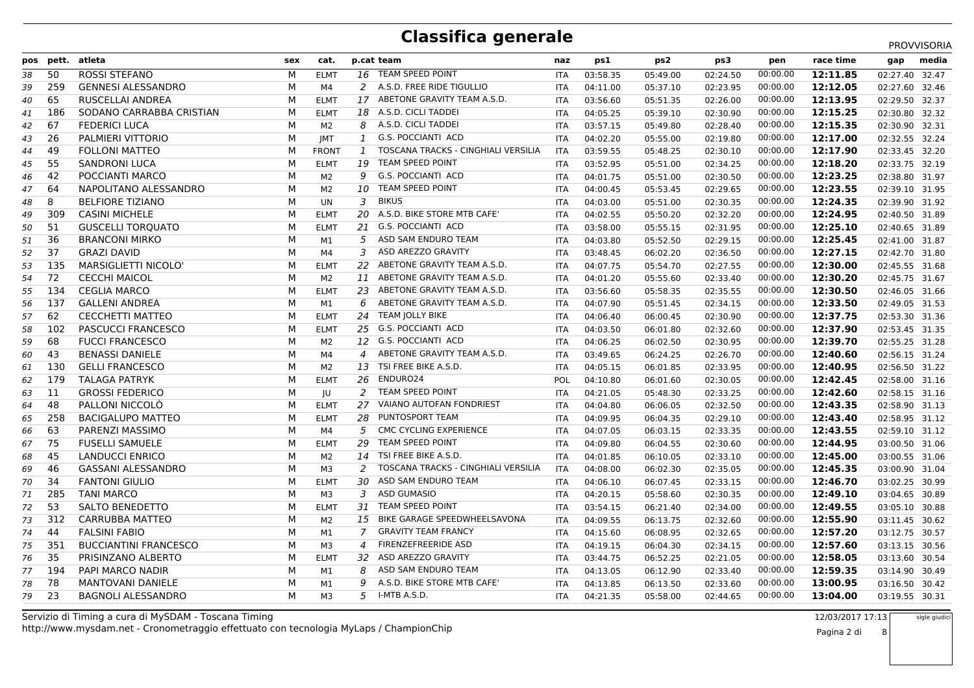PROVVISORIA

| pos | pett. | atleta                       | sex | cat.           |              | p.cat team                          | naz        | ps1      | ps <sub>2</sub> | ps3      | pen      | race time | gap            | media |
|-----|-------|------------------------------|-----|----------------|--------------|-------------------------------------|------------|----------|-----------------|----------|----------|-----------|----------------|-------|
| 38  | 50    | <b>ROSSI STEFANO</b>         | M   | <b>ELMT</b>    | 16           | TEAM SPEED POINT                    | <b>ITA</b> | 03:58.35 | 05:49.00        | 02:24.50 | 00:00.00 | 12:11.85  | 02:27.40       | 32.47 |
| 39  | 259   | <b>GENNESI ALESSANDRO</b>    | M   | M4             | 2            | A.S.D. FREE RIDE TIGULLIO           | <b>ITA</b> | 04:11.00 | 05:37.10        | 02:23.95 | 00:00.00 | 12:12.05  | 02:27.60       | 32.46 |
| 40  | 65    | <b>RUSCELLAI ANDREA</b>      | М   | <b>ELMT</b>    | 17           | ABETONE GRAVITY TEAM A.S.D.         | <b>ITA</b> | 03:56.60 | 05:51.35        | 02:26.00 | 00:00.00 | 12:13.95  | 02:29.50       | 32.37 |
| 41  | 186   | SODANO CARRABBA CRISTIAN     | M   | <b>ELMT</b>    |              | 18 A.S.D. CICLI TADDEI              | <b>ITA</b> | 04:05.25 | 05:39.10        | 02:30.90 | 00:00.00 | 12:15.25  | 02:30.80 32.32 |       |
| 42  | 67    | <b>FEDERICI LUCA</b>         | М   | M <sub>2</sub> | 8            | A.S.D. CICLI TADDEI                 | <b>ITA</b> | 03:57.15 | 05:49.80        | 02:28.40 | 00:00.00 | 12:15.35  | 02:30.90       | 32.31 |
| 43  | 26    | PALMIERI VITTORIO            | M   | <b>IMT</b>     | $\mathbf{1}$ | G.S. POCCIANTI ACD                  | <b>ITA</b> | 04:02.20 | 05:55.00        | 02:19.80 | 00:00.00 | 12:17.00  | 02:32.55       | 32.24 |
| 44  | 49    | <b>FOLLONI MATTEO</b>        | М   | <b>FRONT</b>   | $\mathbf{1}$ | TOSCANA TRACKS - CINGHIALI VERSILIA | <b>ITA</b> | 03:59.55 | 05:48.25        | 02:30.10 | 00:00.00 | 12:17.90  | 02:33.45       | 32.20 |
| 45  | 55    | <b>SANDRONI LUCA</b>         | м   | <b>ELMT</b>    | 19           | <b>TEAM SPEED POINT</b>             | <b>ITA</b> | 03:52.95 | 05:51.00        | 02:34.25 | 00:00.00 | 12:18.20  | 02:33.75 32.19 |       |
| 46  | 42    | POCCIANTI MARCO              | M   | M <sub>2</sub> | 9            | <b>G.S. POCCIANTI ACD</b>           | <b>ITA</b> | 04:01.75 | 05:51.00        | 02:30.50 | 00:00.00 | 12:23.25  | 02:38.80 31.97 |       |
| 47  | 64    | NAPOLITANO ALESSANDRO        | M   | M <sub>2</sub> | 10           | <b>TEAM SPEED POINT</b>             | <b>ITA</b> | 04:00.45 | 05:53.45        | 02:29.65 | 00:00.00 | 12:23.55  | 02:39.10       | 31.95 |
| 48  | 8     | <b>BELFIORE TIZIANO</b>      | M   | <b>UN</b>      | 3            | <b>BIKUS</b>                        | <b>ITA</b> | 04:03.00 | 05:51.00        | 02:30.35 | 00:00.00 | 12:24.35  | 02:39.90 31.92 |       |
| 49  | 309   | <b>CASINI MICHELE</b>        | M   | <b>ELMT</b>    | 20           | A.S.D. BIKE STORE MTB CAFE'         | <b>ITA</b> | 04:02.55 | 05:50.20        | 02:32.20 | 00:00.00 | 12:24.95  | 02:40.50 31.89 |       |
| 50  | 51    | <b>GUSCELLI TORQUATO</b>     | M   | <b>ELMT</b>    | 21           | <b>G.S. POCCIANTI ACD</b>           | <b>ITA</b> | 03:58.00 | 05:55.15        | 02:31.95 | 00:00.00 | 12:25.10  | 02:40.65 31.89 |       |
| 51  | 36    | <b>BRANCONI MIRKO</b>        | M   | M1             | 5            | ASD SAM ENDURO TEAM                 | <b>ITA</b> | 04:03.80 | 05:52.50        | 02:29.15 | 00:00.00 | 12:25.45  | 02:41.00 31.87 |       |
| 52  | 37    | <b>GRAZI DAVID</b>           | М   | M4             | 3            | ASD AREZZO GRAVITY                  | <b>ITA</b> | 03:48.45 | 06:02.20        | 02:36.50 | 00:00.00 | 12:27.15  | 02:42.70 31.80 |       |
| 53  | 135   | MARSIGLIETTI NICOLO'         | M   | <b>ELMT</b>    | 22           | ABETONE GRAVITY TEAM A.S.D.         | <b>ITA</b> | 04:07.75 | 05:54.70        | 02:27.55 | 00:00.00 | 12:30.00  | 02:45.55 31.68 |       |
| 54  | 72    | <b>CECCHI MAICOL</b>         | M   | M <sub>2</sub> | 11           | ABETONE GRAVITY TEAM A.S.D.         | ITA        | 04:01.20 | 05:55.60        | 02:33.40 | 00:00.00 | 12:30.20  | 02:45.75       | 31.67 |
| 55  | 134   | <b>CEGLIA MARCO</b>          | M   | <b>ELMT</b>    | 23           | ABETONE GRAVITY TEAM A.S.D.         | ITA        | 03:56.60 | 05:58.35        | 02:35.55 | 00:00.00 | 12:30.50  | 02:46.05 31.66 |       |
| 56  | 137   | <b>GALLENI ANDREA</b>        | M   | M1             | 6            | ABETONE GRAVITY TEAM A.S.D.         | <b>ITA</b> | 04:07.90 | 05:51.45        | 02:34.15 | 00:00.00 | 12:33.50  | 02:49.05 31.53 |       |
| 57  | 62    | <b>CECCHETTI MATTEO</b>      | M   | <b>ELMT</b>    | 24           | TEAM JOLLY BIKE                     | <b>ITA</b> | 04:06.40 | 06:00.45        | 02:30.90 | 00:00.00 | 12:37.75  | 02:53.30 31.36 |       |
| 58  | 102   | PASCUCCI FRANCESCO           | M   | <b>ELMT</b>    |              | 25 G.S. POCCIANTI ACD               | <b>ITA</b> | 04:03.50 | 06:01.80        | 02:32.60 | 00:00.00 | 12:37.90  | 02:53.45 31.35 |       |
| 59  | 68    | <b>FUCCI FRANCESCO</b>       | М   | M <sub>2</sub> |              | 12 G.S. POCCIANTI ACD               | ITA        | 04:06.25 | 06:02.50        | 02:30.95 | 00:00.00 | 12:39.70  | 02:55.25 31.28 |       |
| 60  | 43    | <b>BENASSI DANIELE</b>       | M   | M4             | 4            | ABETONE GRAVITY TEAM A.S.D.         | ITA        | 03:49.65 | 06:24.25        | 02:26.70 | 00:00.00 | 12:40.60  | 02:56.15 31.24 |       |
| 61  | 130   | <b>GELLI FRANCESCO</b>       | М   | M <sub>2</sub> | 13           | TSI FREE BIKE A.S.D.                | ITA        | 04:05.15 | 06:01.85        | 02:33.95 | 00:00.00 | 12:40.95  | 02:56.50       | 31.22 |
| 62  | 179   | <b>TALAGA PATRYK</b>         | м   | <b>ELMT</b>    | 26           | ENDURO24                            | POL        | 04:10.80 | 06:01.60        | 02:30.05 | 00:00.00 | 12:42.45  | 02:58.00 31.16 |       |
| 63  | 11    | <b>GROSSI FEDERICO</b>       | M   | JU             | 2            | <b>TEAM SPEED POINT</b>             | <b>ITA</b> | 04:21.05 | 05:48.30        | 02:33.25 | 00:00.00 | 12:42.60  | 02:58.15 31.16 |       |
| 64  | 48    | PALLONI NICCOLO              | M   | <b>ELMT</b>    | 27           | VAIANO AUTOFAN FONDRIEST            | <b>ITA</b> | 04:04.80 | 06:06.05        | 02:32.50 | 00:00.00 | 12:43.35  | 02:58.90 31.13 |       |
| 65  | 258   | <b>BACIGALUPO MATTEO</b>     | м   | <b>ELMT</b>    | 28           | PUNTOSPORT TEAM                     | <b>ITA</b> | 04:09.95 | 06:04.35        | 02:29.10 | 00:00.00 | 12:43.40  | 02:58.95 31.12 |       |
| 66  | 63    | PARENZI MASSIMO              | М   | M4             | 5            | CMC CYCLING EXPERIENCE              | <b>ITA</b> | 04:07.05 | 06:03.15        | 02:33.35 | 00:00.00 | 12:43.55  | 02:59.10 31.12 |       |
| 67  | 75    | <b>FUSELLI SAMUELE</b>       | М   | <b>ELMT</b>    | 29           | TEAM SPEED POINT                    | <b>ITA</b> | 04:09.80 | 06:04.55        | 02:30.60 | 00:00.00 | 12:44.95  | 03:00.50 31.06 |       |
| 68  | 45    | <b>LANDUCCI ENRICO</b>       | M   | M <sub>2</sub> | 14           | TSI FREE BIKE A.S.D.                | <b>ITA</b> | 04:01.85 | 06:10.05        | 02:33.10 | 00:00.00 | 12:45.00  | 03:00.55 31.06 |       |
| 69  | 46    | <b>GASSANI ALESSANDRO</b>    | М   | M3             | 2            | TOSCANA TRACKS - CINGHIALI VERSILIA | <b>ITA</b> | 04:08.00 | 06:02.30        | 02:35.05 | 00:00.00 | 12:45.35  | 03:00.90 31.04 |       |
| 70  | 34    | <b>FANTONI GIULIO</b>        | M   | <b>ELMT</b>    | 30           | ASD SAM ENDURO TEAM                 | <b>ITA</b> | 04:06.10 | 06:07.45        | 02:33.15 | 00:00.00 | 12:46.70  | 03:02.25       | 30.99 |
| 71  | 285   | <b>TANI MARCO</b>            | М   | M3             | 3            | <b>ASD GUMASIO</b>                  | <b>ITA</b> | 04:20.15 | 05:58.60        | 02:30.35 | 00:00.00 | 12:49.10  | 03:04.65       | 30.89 |
| 72  | 53    | SALTO BENEDETTO              | м   | <b>ELMT</b>    | 31           | TEAM SPEED POINT                    | <b>ITA</b> | 03:54.15 | 06:21.40        | 02:34.00 | 00:00.00 | 12:49.55  | 03:05.10 30.88 |       |
| 73  | 312   | <b>CARRUBBA MATTEO</b>       | M   | M <sub>2</sub> | 15           | BIKE GARAGE SPEEDWHEELSAVONA        | <b>ITA</b> | 04:09.55 | 06:13.75        | 02:32.60 | 00:00.00 | 12:55.90  | 03:11.45 30.62 |       |
| 74  | 44    | <b>FALSINI FABIO</b>         | M   | M1             | 7            | <b>GRAVITY TEAM FRANCY</b>          | <b>ITA</b> | 04:15.60 | 06:08.95        | 02:32.65 | 00:00.00 | 12:57.20  | 03:12.75       | 30.57 |
| 75  | 351   | <b>BUCCIANTINI FRANCESCO</b> | М   | M <sub>3</sub> | 4            | FIRENZEFREERIDE ASD                 | <b>ITA</b> | 04:19.15 | 06:04.30        | 02:34.15 | 00:00.00 | 12:57.60  | 03:13.15 30.56 |       |
| 76  | 35    | PRISINZANO ALBERTO           | M   | <b>ELMT</b>    | 32           | ASD AREZZO GRAVITY                  | <b>ITA</b> | 03:44.75 | 06:52.25        | 02:21.05 | 00:00.00 | 12:58.05  | 03:13.60 30.54 |       |
| 77  | 194   | PAPI MARCO NADIR             | M   | M1             | 8            | ASD SAM ENDURO TEAM                 | <b>ITA</b> | 04:13.05 | 06:12.90        | 02:33.40 | 00:00.00 | 12:59.35  | 03:14.90       | 30.49 |
| 78  | 78    | <b>MANTOVANI DANIELE</b>     | М   | M1             | 9            | A.S.D. BIKE STORE MTB CAFE'         | <b>ITA</b> | 04:13.85 | 06:13.50        | 02:33.60 | 00:00.00 | 13:00.95  | 03:16.50       | 30.42 |
| 79  | 23    | <b>BAGNOLI ALESSANDRO</b>    | м   | M <sub>3</sub> | 5            | I-MTB A.S.D.                        | <b>ITA</b> | 04:21.35 | 05:58.00        | 02:44.65 | 00:00.00 | 13:04.00  | 03:19.55 30.31 |       |
|     |       |                              |     |                |              |                                     |            |          |                 |          |          |           |                |       |

 8sigle giudici

Pagina 2 di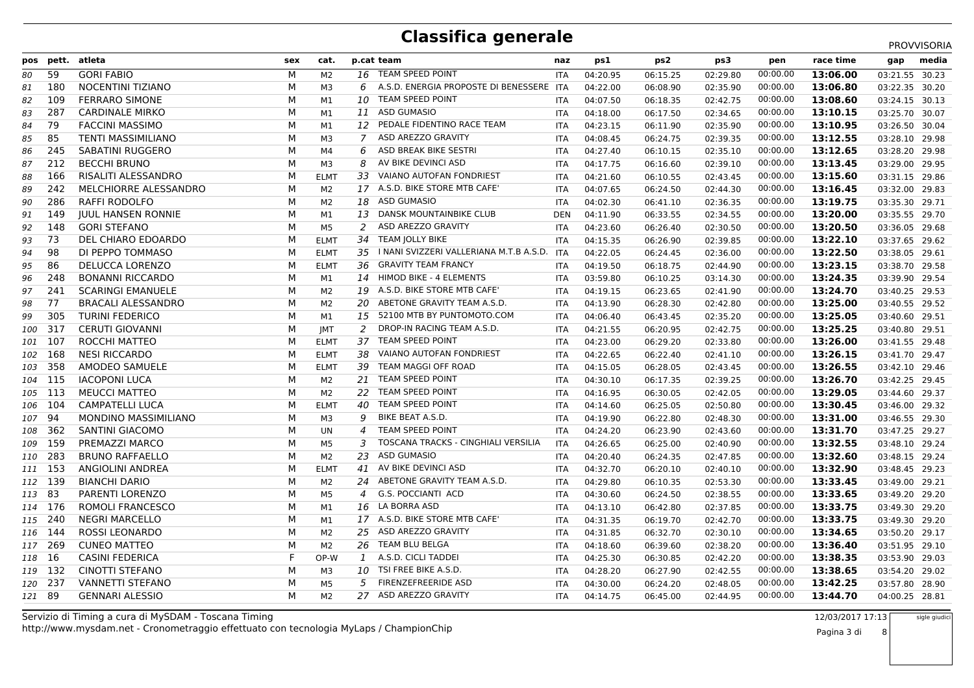|         |       |                            |     |                |                |                                          |            |          |                 |          |          |           |                | PROVVISORIA |
|---------|-------|----------------------------|-----|----------------|----------------|------------------------------------------|------------|----------|-----------------|----------|----------|-----------|----------------|-------------|
| pos     | pett. | atleta                     | sex | cat.           |                | p.cat team                               | naz        | ps1      | ps <sub>2</sub> | ps3      | pen      | race time | gap            | media       |
| 80      | 59    | <b>GORI FABIO</b>          | M   | M <sub>2</sub> | 16             | TEAM SPEED POINT                         | <b>ITA</b> | 04:20.95 | 06:15.25        | 02:29.80 | 00:00.00 | 13:06.00  | 03:21.55 30.23 |             |
| 81      | 180   | NOCENTINI TIZIANO          | М   | M3             | 6              | A.S.D. ENERGIA PROPOSTE DI BENESSERE ITA |            | 04:22.00 | 06:08.90        | 02:35.90 | 00:00.00 | 13:06.80  | 03:22.35 30.20 |             |
| 82      | 109   | <b>FERRARO SIMONE</b>      | М   | M1             | 10             | TEAM SPEED POINT                         | <b>ITA</b> | 04:07.50 | 06:18.35        | 02:42.75 | 00:00.00 | 13:08.60  | 03:24.15 30.13 |             |
| 83      | 287   | <b>CARDINALE MIRKO</b>     | M   | M1             | 11             | <b>ASD GUMASIO</b>                       | <b>ITA</b> | 04:18.00 | 06:17.50        | 02:34.65 | 00:00.00 | 13:10.15  | 03:25.70 30.07 |             |
| 84      | 79    | <b>FACCINI MASSIMO</b>     | М   | M1             | 12             | PEDALE FIDENTINO RACE TEAM               | <b>ITA</b> | 04:23.15 | 06:11.90        | 02:35.90 | 00:00.00 | 13:10.95  | 03:26.50 30.04 |             |
| 85      | 85    | <b>TENTI MASSIMILIANO</b>  | M   | M3             | 7              | ASD AREZZO GRAVITY                       | <b>ITA</b> | 04:08.45 | 06:24.75        | 02:39.35 | 00:00.00 | 13:12.55  | 03:28.10 29.98 |             |
| 86      | 245   | <b>SABATINI RUGGERO</b>    | М   | M4             | 6              | ASD BREAK BIKE SESTRI                    | <b>ITA</b> | 04:27.40 | 06:10.15        | 02:35.10 | 00:00.00 | 13:12.65  | 03:28.20 29.98 |             |
| 87      | 212   | <b>BECCHI BRUNO</b>        | М   | M3             | 8              | AV BIKE DEVINCI ASD                      | <b>ITA</b> | 04:17.75 | 06:16.60        | 02:39.10 | 00:00.00 | 13:13.45  | 03:29.00 29.95 |             |
| 88      | 166   | <b>RISALITI ALESSANDRO</b> | M   | <b>ELMT</b>    | 33             | VAIANO AUTOFAN FONDRIEST                 | <b>ITA</b> | 04:21.60 | 06:10.55        | 02:43.45 | 00:00.00 | 13:15.60  | 03:31.15 29.86 |             |
| 89      | 242   | MELCHIORRE ALESSANDRO      | М   | M2             |                | 17 A.S.D. BIKE STORE MTB CAFE'           | <b>ITA</b> | 04:07.65 | 06:24.50        | 02:44.30 | 00:00.00 | 13:16.45  | 03:32.00 29.83 |             |
| 90      | 286   | RAFFI RODOLFO              | М   | M2             | 18             | <b>ASD GUMASIO</b>                       | <b>ITA</b> | 04:02.30 | 06:41.10        | 02:36.35 | 00:00.00 | 13:19.75  | 03:35.30 29.71 |             |
| 91      | 149   | <b>JUUL HANSEN RONNIE</b>  | M   | M1             | 13             | DANSK MOUNTAINBIKE CLUB                  | <b>DEN</b> | 04:11.90 | 06:33.55        | 02:34.55 | 00:00.00 | 13:20.00  | 03:35.55 29.70 |             |
| 92      | 148   | <b>GORI STEFANO</b>        | M   | M5             | 2              | ASD AREZZO GRAVITY                       | <b>ITA</b> | 04:23.60 | 06:26.40        | 02:30.50 | 00:00.00 | 13:20.50  | 03:36.05 29.68 |             |
| 93      | 73    | DEL CHIARO EDOARDO         | М   | <b>ELMT</b>    | 34             | TEAM JOLLY BIKE                          | <b>ITA</b> | 04:15.35 | 06:26.90        | 02:39.85 | 00:00.00 | 13:22.10  | 03:37.65 29.62 |             |
| 94      | 98    | DI PEPPO TOMMASO           | M   | <b>ELMT</b>    | 35             | I NANI SVIZZERI VALLERIANA M.T.B A.S.D.  | <b>ITA</b> | 04:22.05 | 06:24.45        | 02:36.00 | 00:00.00 | 13:22.50  | 03:38.05 29.61 |             |
| 95      | 86    | DELUCCA LORENZO            | M   | <b>ELMT</b>    | 36             | <b>GRAVITY TEAM FRANCY</b>               | <b>ITA</b> | 04:19.50 | 06:18.75        | 02:44.90 | 00:00.00 | 13:23.15  | 03:38.70 29.58 |             |
| 96      | 248   | <b>BONANNI RICCARDO</b>    | М   | M1             | 14             | HIMOD BIKE - 4 ELEMENTS                  | ITA        | 03:59.80 | 06:10.25        | 03:14.30 | 00:00.00 | 13:24.35  | 03:39.90 29.54 |             |
| 97      | 241   | <b>SCARINGI EMANUELE</b>   | M   | M <sub>2</sub> | 19             | A.S.D. BIKE STORE MTB CAFE'              | <b>ITA</b> | 04:19.15 | 06:23.65        | 02:41.90 | 00:00.00 | 13:24.70  | 03:40.25 29.53 |             |
| 98      | 77    | <b>BRACALI ALESSANDRO</b>  | M   | M2             | 20             | ABETONE GRAVITY TEAM A.S.D.              | <b>ITA</b> | 04:13.90 | 06:28.30        | 02:42.80 | 00:00.00 | 13:25.00  | 03:40.55 29.52 |             |
| 99      | 305   | <b>TURINI FEDERICO</b>     | M   | M1             | 15             | 52100 MTB BY PUNTOMOTO.COM               | <b>ITA</b> | 04:06.40 | 06:43.45        | 02:35.20 | 00:00.00 | 13:25.05  | 03:40.60 29.51 |             |
| 100     | 317   | <b>CERUTI GIOVANNI</b>     | M   | <b>JMT</b>     | 2              | DROP-IN RACING TEAM A.S.D.               | <b>ITA</b> | 04:21.55 | 06:20.95        | 02:42.75 | 00:00.00 | 13:25.25  | 03:40.80 29.51 |             |
| 101     | 107   | ROCCHI MATTEO              | M   | <b>ELMT</b>    | 37             | TEAM SPEED POINT                         | <b>ITA</b> | 04:23.00 | 06:29.20        | 02:33.80 | 00:00.00 | 13:26.00  | 03:41.55 29.48 |             |
| 102     | 168   | <b>NESI RICCARDO</b>       | M   | <b>ELMT</b>    | 38             | VAIANO AUTOFAN FONDRIEST                 | <b>ITA</b> | 04:22.65 | 06:22.40        | 02:41.10 | 00:00.00 | 13:26.15  | 03:41.70 29.47 |             |
| 103     | 358   | AMODEO SAMUELE             | M   | <b>ELMT</b>    | 39             | TEAM MAGGI OFF ROAD                      | <b>ITA</b> | 04:15.05 | 06:28.05        | 02:43.45 | 00:00.00 | 13:26.55  | 03:42.10 29.46 |             |
| 104     | 115   | <b>IACOPONI LUCA</b>       | М   | M <sub>2</sub> | 21             | <b>TEAM SPEED POINT</b>                  | ITA        | 04:30.10 | 06:17.35        | 02:39.25 | 00:00.00 | 13:26.70  | 03:42.25 29.45 |             |
| 105     | -113  | <b>MEUCCI MATTEO</b>       | M   | M <sub>2</sub> | 22             | TEAM SPEED POINT                         | <b>ITA</b> | 04:16.95 | 06:30.05        | 02:42.05 | 00:00.00 | 13:29.05  | 03:44.60 29.37 |             |
| 106     | 104   | <b>CAMPATELLI LUCA</b>     | M   | <b>ELMT</b>    | 40             | TEAM SPEED POINT                         | <b>ITA</b> | 04:14.60 | 06:25.05        | 02:50.80 | 00:00.00 | 13:30.45  | 03:46.00 29.32 |             |
| 107     | 94    | MONDINO MASSIMILIANO       | M   | M3             | 9              | BIKE BEAT A.S.D.                         | <b>ITA</b> | 04:19.90 | 06:22.80        | 02:48.30 | 00:00.00 | 13:31.00  | 03:46.55 29.30 |             |
| 108     | 362   | SANTINI GIACOMO            | M   | <b>UN</b>      | 4              | <b>TEAM SPEED POINT</b>                  | <b>ITA</b> | 04:24.20 | 06:23.90        | 02:43.60 | 00:00.00 | 13:31.70  | 03:47.25 29.27 |             |
| 109     | 159   | PREMAZZI MARCO             | M   | M <sub>5</sub> | 3              | TOSCANA TRACKS - CINGHIALI VERSILIA      | <b>ITA</b> | 04:26.65 | 06:25.00        | 02:40.90 | 00:00.00 | 13:32.55  | 03:48.10 29.24 |             |
| 110     | 283   | <b>BRUNO RAFFAELLO</b>     | M   | M2             | 23             | <b>ASD GUMASIO</b>                       | <b>ITA</b> | 04:20.40 | 06:24.35        | 02:47.85 | 00:00.00 | 13:32.60  | 03:48.15 29.24 |             |
| 111 153 |       | ANGIOLINI ANDREA           | M   | <b>ELMT</b>    | 41             | AV BIKE DEVINCI ASD                      | <b>ITA</b> | 04:32.70 | 06:20.10        | 02:40.10 | 00:00.00 | 13:32.90  | 03:48.45 29.23 |             |
| 112 139 |       | <b>BIANCHI DARIO</b>       | M   | M <sub>2</sub> | 24             | ABETONE GRAVITY TEAM A.S.D.              | <b>ITA</b> | 04:29.80 | 06:10.35        | 02:53.30 | 00:00.00 | 13:33.45  | 03:49.00 29.21 |             |
| 113 83  |       | PARENTI LORENZO            | М   | M5             | $\overline{4}$ | G.S. POCCIANTI ACD                       | <b>ITA</b> | 04:30.60 | 06:24.50        | 02:38.55 | 00:00.00 | 13:33.65  | 03:49.20 29.20 |             |
| 114 176 |       | ROMOLI FRANCESCO           | М   | M1             |                | 16 LA BORRA ASD                          | <b>ITA</b> | 04:13.10 | 06:42.80        | 02:37.85 | 00:00.00 | 13:33.75  | 03:49.30 29.20 |             |
| 115 240 |       | <b>NEGRI MARCELLO</b>      | M   | M1             |                | 17 A.S.D. BIKE STORE MTB CAFE'           | <b>ITA</b> | 04:31.35 | 06:19.70        | 02:42.70 | 00:00.00 | 13:33.75  | 03:49.30 29.20 |             |
| 116 144 |       | <b>ROSSI LEONARDO</b>      | M   | M <sub>2</sub> | 25             | ASD AREZZO GRAVITY                       | <b>ITA</b> | 04:31.85 | 06:32.70        | 02:30.10 | 00:00.00 | 13:34.65  | 03:50.20 29.17 |             |
| 117 269 |       | <b>CUNEO MATTEO</b>        | M   | M <sub>2</sub> | 26             | TEAM BLU BELGA                           | <b>ITA</b> | 04:18.60 | 06:39.60        | 02:38.20 | 00:00.00 | 13:36.40  | 03:51.95 29.10 |             |
| 118 16  |       | <b>CASINI FEDERICA</b>     | F   | OP-W           | 1              | A.S.D. CICLI TADDEI                      | <b>ITA</b> | 04:25.30 | 06:30.85        | 02:42.20 | 00:00.00 | 13:38.35  | 03:53.90 29.03 |             |
| 119 132 |       | <b>CINOTTI STEFANO</b>     | M   | M3             | 10             | TSI FREE BIKE A.S.D.                     | <b>ITA</b> | 04:28.20 | 06:27.90        | 02:42.55 | 00:00.00 | 13:38.65  | 03:54.20 29.02 |             |
| 120 237 |       | <b>VANNETTI STEFANO</b>    | M   | M5             | 5              | <b>FIRENZEFREERIDE ASD</b>               | <b>ITA</b> | 04:30.00 | 06:24.20        | 02:48.05 | 00:00.00 | 13:42.25  | 03:57.80       | 28.90       |
| 121 89  |       | <b>GENNARI ALESSIO</b>     | M   | M <sub>2</sub> |                | 27 ASD AREZZO GRAVITY                    | <b>ITA</b> | 04:14.75 | 06:45.00        | 02:44.95 | 00:00.00 | 13:44.70  | 04:00.25 28.81 |             |
|         |       |                            |     |                |                |                                          |            |          |                 |          |          |           |                |             |

 8sigle giudici

Pagina 3 di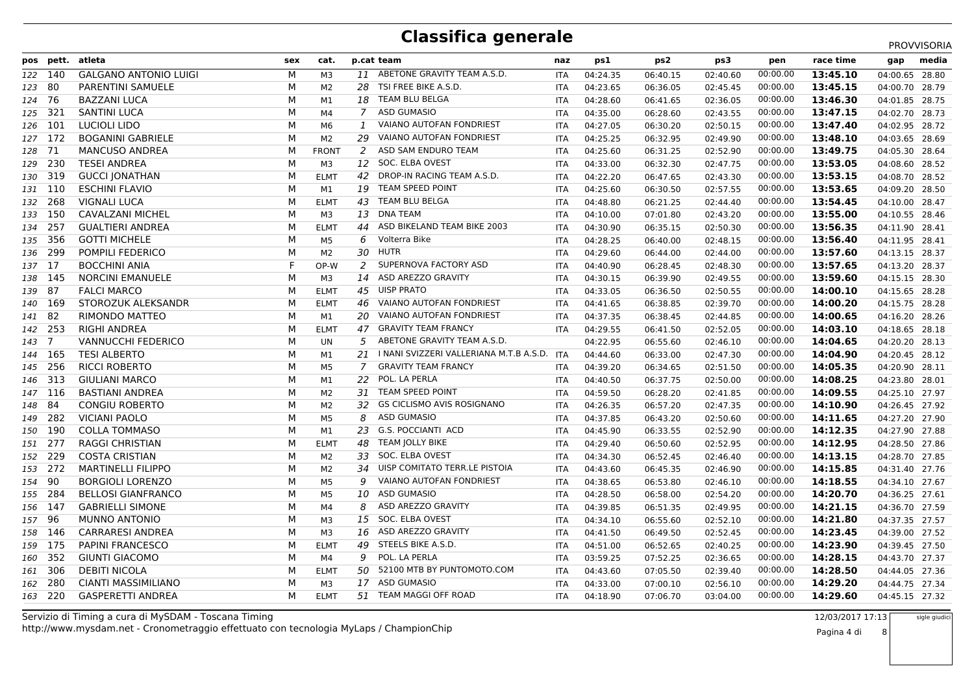|         |                |                              |     |                |                |                                             |            |          |                 |          |          |           |                | PROVVISORIA |
|---------|----------------|------------------------------|-----|----------------|----------------|---------------------------------------------|------------|----------|-----------------|----------|----------|-----------|----------------|-------------|
|         | pos pett.      | atleta                       | sex | cat.           |                | p.cat team                                  | naz        | ps1      | ps <sub>2</sub> | ps3      | pen      | race time | gap            | media       |
| 122 140 |                | <b>GALGANO ANTONIO LUIGI</b> | м   | M <sub>3</sub> | 11             | ABETONE GRAVITY TEAM A.S.D.                 | <b>ITA</b> | 04:24.35 | 06:40.15        | 02:40.60 | 00:00.00 | 13:45.10  | 04:00.65 28.80 |             |
| 123 80  |                | PARENTINI SAMUELE            | М   | M <sub>2</sub> | 28             | TSI FREE BIKE A.S.D.                        | <b>ITA</b> | 04:23.65 | 06:36.05        | 02:45.45 | 00:00.00 | 13:45.15  | 04:00.70 28.79 |             |
| 124 76  |                | <b>BAZZANI LUCA</b>          | М   | M1             | 18             | <b>TEAM BLU BELGA</b>                       | <b>ITA</b> | 04:28.60 | 06:41.65        | 02:36.05 | 00:00.00 | 13:46.30  | 04:01.85 28.75 |             |
| 125 321 |                | <b>SANTINI LUCA</b>          | М   | M4             | $\overline{7}$ | <b>ASD GUMASIO</b>                          | <b>ITA</b> | 04:35.00 | 06:28.60        | 02:43.55 | 00:00.00 | 13:47.15  | 04:02.70 28.73 |             |
| 126 101 |                | <b>LUCIOLI LIDO</b>          | M   | M <sub>6</sub> | 1              | VAIANO AUTOFAN FONDRIEST                    | <b>ITA</b> | 04:27.05 | 06:30.20        | 02:50.15 | 00:00.00 | 13:47.40  | 04:02.95 28.72 |             |
| 127 172 |                | <b>BOGANINI GABRIELE</b>     | М   | M <sub>2</sub> | 29             | VAIANO AUTOFAN FONDRIEST                    | <b>ITA</b> | 04:25.25 | 06:32.95        | 02:49.90 | 00:00.00 | 13:48.10  | 04:03.65 28.69 |             |
| 128     | - 71           | <b>MANCUSO ANDREA</b>        | М   | <b>FRONT</b>   | 2              | ASD SAM ENDURO TEAM                         | <b>ITA</b> | 04:25.60 | 06:31.25        | 02:52.90 | 00:00.00 | 13:49.75  | 04:05.30 28.64 |             |
| 129     | 230            | <b>TESEI ANDREA</b>          | М   | M3             | 12             | SOC. ELBA OVEST                             | <b>ITA</b> | 04:33.00 | 06:32.30        | 02:47.75 | 00:00.00 | 13:53.05  | 04:08.60 28.52 |             |
| 130     | 319            | <b>GUCCI JONATHAN</b>        | М   | <b>ELMT</b>    | 42             | DROP-IN RACING TEAM A.S.D.                  | <b>ITA</b> | 04:22.20 | 06:47.65        | 02:43.30 | 00:00.00 | 13:53.15  | 04:08.70 28.52 |             |
| 131 110 |                | <b>ESCHINI FLAVIO</b>        | M   | M1             | 19             | <b>TEAM SPEED POINT</b>                     | <b>ITA</b> | 04:25.60 | 06:30.50        | 02:57.55 | 00:00.00 | 13:53.65  | 04:09.20 28.50 |             |
| 132 268 |                | <b>VIGNALI LUCA</b>          | М   | <b>ELMT</b>    | 43             | TEAM BLU BELGA                              | <b>ITA</b> | 04:48.80 | 06:21.25        | 02:44.40 | 00:00.00 | 13:54.45  | 04:10.00 28.47 |             |
| 133     | - 150          | <b>CAVALZANI MICHEL</b>      | М   | M <sub>3</sub> | 13             | <b>DNA TEAM</b>                             | <b>ITA</b> | 04:10.00 | 07:01.80        | 02:43.20 | 00:00.00 | 13:55.00  | 04:10.55 28.46 |             |
| 134 257 |                | <b>GUALTIERI ANDREA</b>      | M   | <b>ELMT</b>    | 44             | ASD BIKELAND TEAM BIKE 2003                 | <b>ITA</b> | 04:30.90 | 06:35.15        | 02:50.30 | 00:00.00 | 13:56.35  | 04:11.90 28.41 |             |
| 135 356 |                | <b>GOTTI MICHELE</b>         | М   | M5             | 6              | Volterra Bike                               | <b>ITA</b> | 04:28.25 | 06:40.00        | 02:48.15 | 00:00.00 | 13:56.40  | 04:11.95 28.41 |             |
| 136 299 |                | POMPILI FEDERICO             | М   | M <sub>2</sub> | 30             | <b>HUTR</b>                                 | <b>ITA</b> | 04:29.60 | 06:44.00        | 02:44.00 | 00:00.00 | 13:57.60  | 04:13.15 28.37 |             |
| 137 17  |                | <b>BOCCHINI ANIA</b>         | F   | OP-W           | 2              | SUPERNOVA FACTORY ASD                       | <b>ITA</b> | 04:40.90 | 06:28.45        | 02:48.30 | 00:00.00 | 13:57.65  | 04:13.20 28.37 |             |
| 138 145 |                | <b>NORCINI EMANUELE</b>      | М   | M3             | 14             | ASD AREZZO GRAVITY                          | <b>ITA</b> | 04:30.15 | 06:39.90        | 02:49.55 | 00:00.00 | 13:59.60  | 04:15.15 28.30 |             |
| 139 87  |                | <b>FALCI MARCO</b>           | М   | <b>ELMT</b>    | 45             | <b>UISP PRATO</b>                           | <b>ITA</b> | 04:33.05 | 06:36.50        | 02:50.55 | 00:00.00 | 14:00.10  | 04:15.65 28.28 |             |
| 140     | 169            | STOROZUK ALEKSANDR           | M   | <b>ELMT</b>    | 46             | VAIANO AUTOFAN FONDRIEST                    | <b>ITA</b> | 04:41.65 | 06:38.85        | 02:39.70 | 00:00.00 | 14:00.20  | 04:15.75 28.28 |             |
| 141 82  |                | RIMONDO MATTEO               | М   | M1             | 20             | VAIANO AUTOFAN FONDRIEST                    | <b>ITA</b> | 04:37.35 | 06:38.45        | 02:44.85 | 00:00.00 | 14:00.65  | 04:16.20 28.26 |             |
| 142 253 |                | <b>RIGHI ANDREA</b>          | М   | <b>ELMT</b>    | 47             | <b>GRAVITY TEAM FRANCY</b>                  | <b>ITA</b> | 04:29.55 | 06:41.50        | 02:52.05 | 00:00.00 | 14:03.10  | 04:18.65 28.18 |             |
| 143     | $\overline{7}$ | <b>VANNUCCHI FEDERICO</b>    | М   | UN             | 5              | ABETONE GRAVITY TEAM A.S.D.                 |            | 04:22.95 | 06:55.60        | 02:46.10 | 00:00.00 | 14:04.65  | 04:20.20 28.13 |             |
| 144 165 |                | <b>TESI ALBERTO</b>          | М   | M1             | 21             | I NANI SVIZZERI VALLERIANA M.T.B A.S.D. ITA |            | 04:44.60 | 06:33.00        | 02:47.30 | 00:00.00 | 14:04.90  | 04:20.45 28.12 |             |
| 145 256 |                | <b>RICCI ROBERTO</b>         | М   | M <sub>5</sub> | 7              | <b>GRAVITY TEAM FRANCY</b>                  | <b>ITA</b> | 04:39.20 | 06:34.65        | 02:51.50 | 00:00.00 | 14:05.35  | 04:20.90 28.11 |             |
| 146 313 |                | <b>GIULIANI MARCO</b>        | М   | M1             | 22             | POL. LA PERLA                               | ITA        | 04:40.50 | 06:37.75        | 02:50.00 | 00:00.00 | 14:08.25  | 04:23.80 28.01 |             |
| 147 116 |                | <b>BASTIANI ANDREA</b>       | M   | M <sub>2</sub> | 31             | TEAM SPEED POINT                            | <b>ITA</b> | 04:59.50 | 06:28.20        | 02:41.85 | 00:00.00 | 14:09.55  | 04:25.10 27.97 |             |
| 148     | 84             | <b>CONGIU ROBERTO</b>        | М   | M <sub>2</sub> | 32             | <b>GS CICLISMO AVIS ROSIGNANO</b>           | <b>ITA</b> | 04:26.35 | 06:57.20        | 02:47.35 | 00:00.00 | 14:10.90  | 04:26.45 27.92 |             |
| 149     | 282            | <b>VICIANI PAOLO</b>         | м   | M <sub>5</sub> | 8              | <b>ASD GUMASIO</b>                          | <b>ITA</b> | 04:37.85 | 06:43.20        | 02:50.60 | 00:00.00 | 14:11.65  | 04:27.20 27.90 |             |
| 150 190 |                | <b>COLLA TOMMASO</b>         | М   | M1             | 23.            | <b>G.S. POCCIANTI ACD</b>                   | <b>ITA</b> | 04:45.90 | 06:33.55        | 02:52.90 | 00:00.00 | 14:12.35  | 04:27.90 27.88 |             |
| 151 277 |                | <b>RAGGI CHRISTIAN</b>       | М   | <b>ELMT</b>    | 48             | <b>TEAM JOLLY BIKE</b>                      | <b>ITA</b> | 04:29.40 | 06:50.60        | 02:52.95 | 00:00.00 | 14:12.95  | 04:28.50 27.86 |             |
| 152     | - 229          | <b>COSTA CRISTIAN</b>        | М   | M2             | 33             | SOC. ELBA OVEST                             | <b>ITA</b> | 04:34.30 | 06:52.45        | 02:46.40 | 00:00.00 | 14:13.15  | 04:28.70 27.85 |             |
| 153 272 |                | <b>MARTINELLI FILIPPO</b>    | М   | M <sub>2</sub> | 34             | UISP COMITATO TERR.LE PISTOIA               | <b>ITA</b> | 04:43.60 | 06:45.35        | 02:46.90 | 00:00.00 | 14:15.85  | 04:31.40 27.76 |             |
| 154     | -90            | BORGIOLI LORENZO             | M   | M5             | 9              | VAIANO AUTOFAN FONDRIEST                    | <b>ITA</b> | 04:38.65 | 06:53.80        | 02:46.10 | 00:00.00 | 14:18.55  | 04:34.10 27.67 |             |
| 155     | - 284          | <b>BELLOSI GIANFRANCO</b>    | М   | M5             | 10             | <b>ASD GUMASIO</b>                          | <b>ITA</b> | 04:28.50 | 06:58.00        | 02:54.20 | 00:00.00 | 14:20.70  | 04:36.25 27.61 |             |
| 156 147 |                | <b>GABRIELLI SIMONE</b>      | М   | M <sub>4</sub> | 8              | ASD AREZZO GRAVITY                          | <b>ITA</b> | 04:39.85 | 06:51.35        | 02:49.95 | 00:00.00 | 14:21.15  | 04:36.70 27.59 |             |
| 157 96  |                | <b>MUNNO ANTONIO</b>         | М   | M <sub>3</sub> | 15             | SOC. ELBA OVEST                             | <b>ITA</b> | 04:34.10 | 06:55.60        | 02:52.10 | 00:00.00 | 14:21.80  | 04:37.35 27.57 |             |
| 158     | - 146          | <b>CARRARESI ANDREA</b>      | M   | M3             | 16             | ASD AREZZO GRAVITY                          | <b>ITA</b> | 04:41.50 | 06:49.50        | 02:52.45 | 00:00.00 | 14:23.45  | 04:39.00 27.52 |             |
| 159     | 175            | <b>PAPINI FRANCESCO</b>      | М   | <b>ELMT</b>    | 49             | STEELS BIKE A.S.D.                          | <b>ITA</b> | 04:51.00 | 06:52.65        | 02:40.25 | 00:00.00 | 14:23.90  | 04:39.45 27.50 |             |
| 160     | 352            | <b>GIUNTI GIACOMO</b>        | м   | M4             | 9              | POL. LA PERLA                               | <b>ITA</b> | 03:59.25 | 07:52.25        | 02:36.65 | 00:00.00 | 14:28.15  | 04:43.70 27.37 |             |
| 161     | 306            | <b>DEBITI NICOLA</b>         | М   | <b>ELMT</b>    | 50             | 52100 MTB BY PUNTOMOTO.COM                  | <b>ITA</b> | 04:43.60 | 07:05.50        | 02:39.40 | 00:00.00 | 14:28.50  | 04:44.05 27.36 |             |
| 162     | 280            | CIANTI MASSIMILIANO          | М   | M3             | 17             | <b>ASD GUMASIO</b>                          | <b>ITA</b> | 04:33.00 | 07:00.10        | 02:56.10 | 00:00.00 | 14:29.20  | 04:44.75 27.34 |             |
| 163 220 |                | <b>GASPERETTI ANDREA</b>     | М   | <b>ELMT</b>    |                | 51 TEAM MAGGI OFF ROAD                      | <b>ITA</b> | 04:18.90 | 07:06.70        | 03:04.00 | 00:00.00 | 14:29.60  | 04:45.15 27.32 |             |
|         |                |                              |     |                |                |                                             |            |          |                 |          |          |           |                |             |

http://www.mysdam.net - Cronometraggio effettuato con tecnologia MyLaps / ChampionChipServizio di Timing a cura di MySDAM - Toscana Timing 12/03/2017 17:13

 8sigle giudici

Pagina 4 di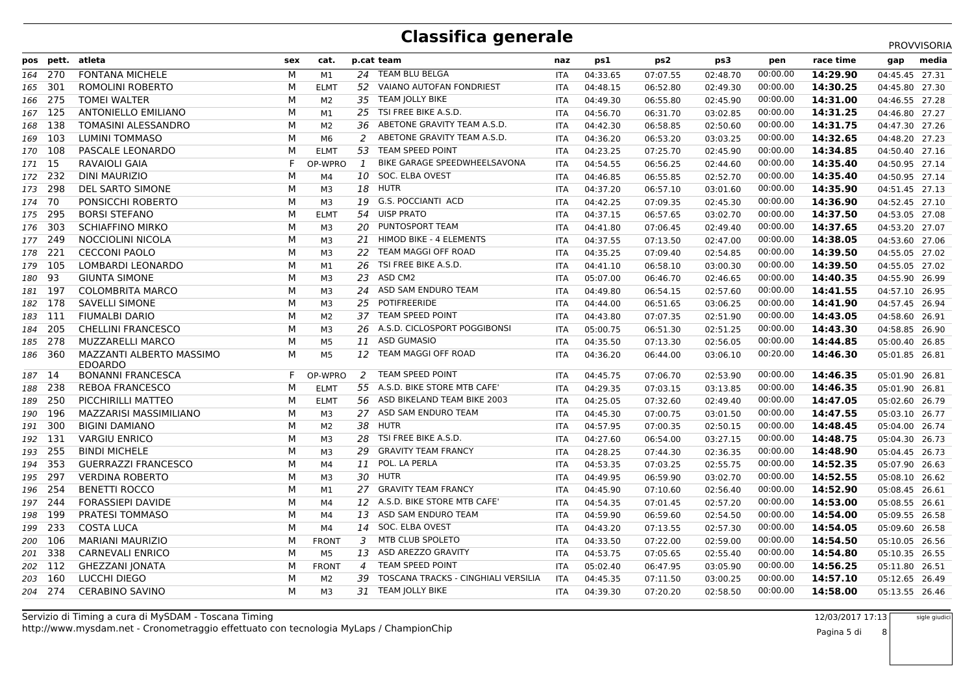PROVVISORIA

|         | pos pett. | atleta                                     | sex | cat.           |                | p.cat team                          | naz        | ps1      | ps2      | ps3      | pen      | race time | gap            | media |
|---------|-----------|--------------------------------------------|-----|----------------|----------------|-------------------------------------|------------|----------|----------|----------|----------|-----------|----------------|-------|
| 164 270 |           | <b>FONTANA MICHELE</b>                     | М   | M1             | 24             | TEAM BLU BELGA                      | <b>ITA</b> | 04:33.65 | 07:07.55 | 02:48.70 | 00:00.00 | 14:29.90  | 04:45.45 27.31 |       |
| 165     | - 301     | ROMOLINI ROBERTO                           | М   | <b>ELMT</b>    | 52             | <b>VAIANO AUTOFAN FONDRIEST</b>     | ITA        | 04:48.15 | 06:52.80 | 02:49.30 | 00:00.00 | 14:30.25  | 04:45.80 27.30 |       |
| 166 275 |           | <b>TOMEI WALTER</b>                        | M   | M <sub>2</sub> | 35             | TEAM JOLLY BIKE                     | <b>ITA</b> | 04:49.30 | 06:55.80 | 02:45.90 | 00:00.00 | 14:31.00  | 04:46.55 27.28 |       |
| 167 125 |           | <b>ANTONIELLO EMILIANO</b>                 | М   | M1             | 25             | TSI FREE BIKE A.S.D.                | <b>ITA</b> | 04:56.70 | 06:31.70 | 03:02.85 | 00:00.00 | 14:31.25  | 04:46.80 27.27 |       |
| 168     | 138       | TOMASINI ALESSANDRO                        | M   | M2             | 36             | ABETONE GRAVITY TEAM A.S.D.         | <b>ITA</b> | 04:42.30 | 06:58.85 | 02:50.60 | 00:00.00 | 14:31.75  | 04:47.30 27.26 |       |
| 169 103 |           | <b>LUMINI TOMMASO</b>                      | M   | M6             | 2              | ABETONE GRAVITY TEAM A.S.D.         | <b>ITA</b> | 04:36.20 | 06:53.20 | 03:03.25 | 00:00.00 | 14:32.65  | 04:48.20 27.23 |       |
| 170 108 |           | PASCALE LEONARDO                           | М   | <b>ELMT</b>    | 53             | TEAM SPEED POINT                    | ITA        | 04:23.25 | 07:25.70 | 02:45.90 | 00:00.00 | 14:34.85  | 04:50.40 27.16 |       |
| 171 15  |           | RAVAIOLI GAIA                              | F.  | OP-WPRO        | 1              | BIKE GARAGE SPEEDWHEELSAVONA        | <b>ITA</b> | 04:54.55 | 06:56.25 | 02:44.60 | 00:00.00 | 14:35.40  | 04:50.95 27.14 |       |
| 172 232 |           | <b>DINI MAURIZIO</b>                       | М   | M4             | 10             | SOC. ELBA OVEST                     | <b>ITA</b> | 04:46.85 | 06:55.85 | 02:52.70 | 00:00.00 | 14:35.40  | 04:50.95 27.14 |       |
| 173 298 |           | DEL SARTO SIMONE                           | М   | ΜЗ             | 18             | <b>HUTR</b>                         | ITA        | 04:37.20 | 06:57.10 | 03:01.60 | 00:00.00 | 14:35.90  | 04:51.45 27.13 |       |
| 174 70  |           | PONSICCHI ROBERTO                          | М   | M3             | 19             | <b>G.S. POCCIANTI ACD</b>           | <b>ITA</b> | 04:42.25 | 07:09.35 | 02:45.30 | 00:00.00 | 14:36.90  | 04:52.45 27.10 |       |
| 175 295 |           | <b>BORSI STEFANO</b>                       | М   | <b>ELMT</b>    | 54             | <b>UISP PRATO</b>                   | ITA        | 04:37.15 | 06:57.65 | 03:02.70 | 00:00.00 | 14:37.50  | 04:53.05 27.08 |       |
| 176 303 |           | <b>SCHIAFFINO MIRKO</b>                    | М   | ΜЗ             | 20             | PUNTOSPORT TEAM                     | ITA        | 04:41.80 | 07:06.45 | 02:49.40 | 00:00.00 | 14:37.65  | 04:53.20 27.07 |       |
| 177 249 |           | NOCCIOLINI NICOLA                          | M   | мз             | 21             | <b>HIMOD BIKE - 4 ELEMENTS</b>      | <b>ITA</b> | 04:37.55 | 07:13.50 | 02:47.00 | 00:00.00 | 14:38.05  | 04:53.60 27.06 |       |
| 178 221 |           | <b>CECCONI PAOLO</b>                       | М   | M3             |                | TEAM MAGGI OFF ROAD                 | <b>ITA</b> | 04:35.25 | 07:09.40 | 02:54.85 | 00:00.00 | 14:39.50  | 04:55.05 27.02 |       |
| 179 105 |           | LOMBARDI LEONARDO                          | М   | M1             | 26             | TSI FREE BIKE A.S.D.                | <b>ITA</b> | 04:41.10 | 06:58.10 | 03:00.30 | 00:00.00 | 14:39.50  | 04:55.05 27.02 |       |
| 180     | 93        | <b>GIUNTA SIMONE</b>                       | M   | мз             | 23             | ASD CM2                             | <b>ITA</b> | 05:07.00 | 06:46.70 | 02:46.65 | 00:00.00 | 14:40.35  | 04:55.90 26.99 |       |
| 181 197 |           | <b>COLOMBRITA MARCO</b>                    | М   | ΜЗ             | 24             | ASD SAM ENDURO TEAM                 | ITA        | 04:49.80 | 06:54.15 | 02:57.60 | 00:00.00 | 14:41.55  | 04:57.10 26.95 |       |
| 182 178 |           | SAVELLI SIMONE                             | M   | мз             | 25             | POTIFREERIDE                        | <b>ITA</b> | 04:44.00 | 06:51.65 | 03:06.25 | 00:00.00 | 14:41.90  | 04:57.45 26.94 |       |
| 183 111 |           | <b>FIUMALBI DARIO</b>                      | М   | M <sub>2</sub> | 37             | <b>TEAM SPEED POINT</b>             | <b>ITA</b> | 04:43.80 | 07:07.35 | 02:51.90 | 00:00.00 | 14:43.05  | 04:58.60 26.91 |       |
| 184 205 |           | <b>CHELLINI FRANCESCO</b>                  | М   | ΜЗ             | 26             | A.S.D. CICLOSPORT POGGIBONSI        | ITA        | 05:00.75 | 06:51.30 | 02:51.25 | 00:00.00 | 14:43.30  | 04:58.85 26.90 |       |
| 185 278 |           | <b>MUZZARELLI MARCO</b>                    | м   | M5             |                | 11 ASD GUMASIO                      | <b>ITA</b> | 04:35.50 | 07:13.30 | 02:56.05 | 00:00.00 | 14:44.85  | 05:00.40 26.85 |       |
| 186 360 |           | MAZZANTI ALBERTO MASSIMO<br><b>EDOARDO</b> | М   | M5             | 12             | TEAM MAGGI OFF ROAD                 | <b>ITA</b> | 04:36.20 | 06:44.00 | 03:06.10 | 00:20.00 | 14:46.30  | 05:01.85 26.81 |       |
| 187 14  |           | BONANNI FRANCESCA                          | F.  | OP-WPRO        | 2              | <b>TEAM SPEED POINT</b>             | ITA        | 04:45.75 | 07:06.70 | 02:53.90 | 00:00.00 | 14:46.35  | 05:01.90 26.81 |       |
| 188 238 |           | <b>REBOA FRANCESCO</b>                     | М   | <b>ELMT</b>    |                | 55 A.S.D. BIKE STORE MTB CAFE'      | <b>ITA</b> | 04:29.35 | 07:03.15 | 03:13.85 | 00:00.00 | 14:46.35  | 05:01.90 26.81 |       |
| 189 250 |           | PICCHIRILLI MATTEO                         | М   | <b>ELMT</b>    | 56             | ASD BIKELAND TEAM BIKE 2003         | <b>ITA</b> | 04:25.05 | 07:32.60 | 02:49.40 | 00:00.00 | 14:47.05  | 05:02.60 26.79 |       |
| 190 196 |           | MAZZARISI MASSIMILIANO                     | М   | мз             | 27             | ASD SAM ENDURO TEAM                 | ITA        | 04:45.30 | 07:00.75 | 03:01.50 | 00:00.00 | 14:47.55  | 05:03.10 26.77 |       |
| 191 300 |           | <b>BIGINI DAMIANO</b>                      | М   | M <sub>2</sub> | 38             | <b>HUTR</b>                         | <b>ITA</b> | 04:57.95 | 07:00.35 | 02:50.15 | 00:00.00 | 14:48.45  | 05:04.00 26.74 |       |
| 192 131 |           | <b>VARGIU ENRICO</b>                       | М   | M3             | 28             | TSI FREE BIKE A.S.D.                | <b>ITA</b> | 04:27.60 | 06:54.00 | 03:27.15 | 00:00.00 | 14:48.75  | 05:04.30 26.73 |       |
| 193     | - 255     | <b>BINDI MICHELE</b>                       | М   | M3             | 29             | <b>GRAVITY TEAM FRANCY</b>          | ITA        | 04:28.25 | 07:44.30 | 02:36.35 | 00:00.00 | 14:48.90  | 05:04.45 26.73 |       |
| 194     | 353       | <b>GUERRAZZI FRANCESCO</b>                 | M   | M4             | 11             | POL. LA PERLA                       | <b>ITA</b> | 04:53.35 | 07:03.25 | 02:55.75 | 00:00.00 | 14:52.35  | 05:07.90 26.63 |       |
| 195     | - 297     | <b>VERDINA ROBERTO</b>                     | М   | ΜЗ             | 30             | <b>HUTR</b>                         | <b>ITA</b> | 04:49.95 | 06:59.90 | 03:02.70 | 00:00.00 | 14:52.55  | 05:08.10 26.62 |       |
| 196 254 |           | <b>BENETTI ROCCO</b>                       | M   | M1             | 27             | <b>GRAVITY TEAM FRANCY</b>          | <b>ITA</b> | 04:45.90 | 07:10.60 | 02:56.40 | 00:00.00 | 14:52.90  | 05:08.45 26.61 |       |
| 197 244 |           | <b>FORASSIEPI DAVIDE</b>                   | М   | M4             | 12             | A.S.D. BIKE STORE MTB CAFE'         | <b>ITA</b> | 04:54.35 | 07:01.45 | 02:57.20 | 00:00.00 | 14:53.00  | 05:08.55 26.61 |       |
| 198 199 |           | PRATESI TOMMASO                            | М   | M4             | 13             | ASD SAM ENDURO TEAM                 | <b>ITA</b> | 04:59.90 | 06:59.60 | 02:54.50 | 00:00.00 | 14:54.00  | 05:09.55 26.58 |       |
| 199 233 |           | <b>COSTA LUCA</b>                          | M   | M <sub>4</sub> | 14             | SOC. ELBA OVEST                     | <b>ITA</b> | 04:43.20 | 07:13.55 | 02:57.30 | 00:00.00 | 14:54.05  | 05:09.60 26.58 |       |
| 200 106 |           | <b>MARIANI MAURIZIO</b>                    | М   | <b>FRONT</b>   | 3              | MTB CLUB SPOLETO                    | <b>ITA</b> | 04:33.50 | 07:22.00 | 02:59.00 | 00:00.00 | 14:54.50  | 05:10.05 26.56 |       |
| 201 338 |           | <b>CARNEVALI ENRICO</b>                    | М   | M5             | 13             | ASD AREZZO GRAVITY                  | ITA        | 04:53.75 | 07:05.65 | 02:55.40 | 00:00.00 | 14:54.80  | 05:10.35 26.55 |       |
| 202 112 |           | GHEZZANI JONATA                            | М   | <b>FRONT</b>   | $\overline{4}$ | <b>TEAM SPEED POINT</b>             | <b>ITA</b> | 05:02.40 | 06:47.95 | 03:05.90 | 00:00.00 | 14:56.25  | 05:11.80 26.51 |       |
| 203 160 |           | LUCCHI DIEGO                               | М   | M2             | 39             | TOSCANA TRACKS - CINGHIALI VERSILIA | <b>ITA</b> | 04:45.35 | 07:11.50 | 03:00.25 | 00:00.00 | 14:57.10  | 05:12.65       | 26.49 |
| 204 274 |           | <b>CERABINO SAVINO</b>                     | м   | ΜЗ             |                | 31 TEAM JOLLY BIKE                  | <b>ITA</b> | 04:39.30 | 07:20.20 | 02:58.50 | 00:00.00 | 14:58.00  | 05:13.55 26.46 |       |
|         |           |                                            |     |                |                |                                     |            |          |          |          |          |           |                |       |

http://www.mysdam.net - Cronometraggio effettuato con tecnologia MyLaps / ChampionChipServizio di Timing a cura di MySDAM - Toscana Timing 12/03/2017 17:13

Pagina 5 di 8sigle giudici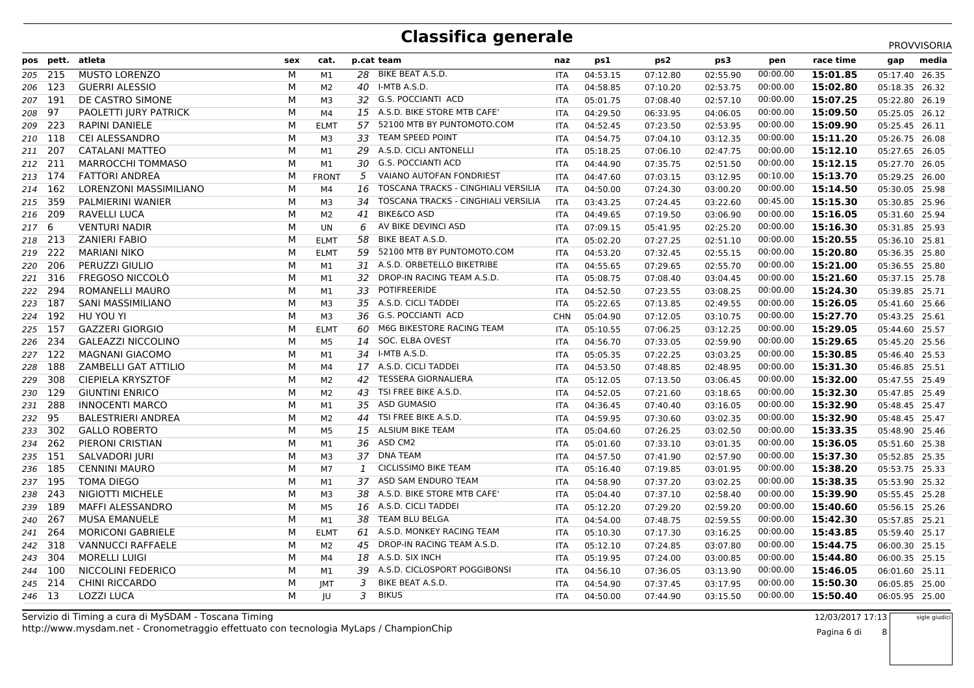|         |           |                             |     |                |                 |                                     |            |          |                 |          |          |           |                | PROVVISORIA |
|---------|-----------|-----------------------------|-----|----------------|-----------------|-------------------------------------|------------|----------|-----------------|----------|----------|-----------|----------------|-------------|
|         | pos pett. | atleta                      | sex | cat.           |                 | p.cat team                          | naz        | ps1      | ps <sub>2</sub> | ps3      | pen      | race time | gap            | media       |
|         | 205 215   | <b>MUSTO LORENZO</b>        | M   | M1             |                 | 28 BIKE BEAT A.S.D.                 | <b>ITA</b> | 04:53.15 | 07:12.80        | 02:55.90 | 00:00.00 | 15:01.85  | 05:17.40       | 26.35       |
|         | 206 123   | <b>GUERRI ALESSIO</b>       | М   | M <sub>2</sub> | 40              | I-MTB A.S.D.                        | <b>ITA</b> | 04:58.85 | 07:10.20        | 02:53.75 | 00:00.00 | 15:02.80  | 05:18.35 26.32 |             |
| 207 191 |           | DE CASTRO SIMONE            | M   | M3             |                 | 32 G.S. POCCIANTI ACD               | ITA        | 05:01.75 | 07:08.40        | 02:57.10 | 00:00.00 | 15:07.25  | 05:22.80       | 26.19       |
| 208 97  |           | PAOLETTI JURY PATRICK       | м   | M4             | 15 <sub>1</sub> | A.S.D. BIKE STORE MTB CAFE'         | <b>ITA</b> | 04:29.50 | 06:33.95        | 04:06.05 | 00:00.00 | 15:09.50  | 05:25.05 26.12 |             |
|         | 209 223   | <b>RAPINI DANIELE</b>       | М   | <b>ELMT</b>    | 57              | 52100 MTB BY PUNTOMOTO.COM          | <b>ITA</b> | 04:52.45 | 07:23.50        | 02:53.95 | 00:00.00 | 15:09.90  | 05:25.45 26.11 |             |
|         | 210 118   | CEI ALESSANDRO              | M   | M3             | 33              | <b>TEAM SPEED POINT</b>             | <b>ITA</b> | 04:54.75 | 07:04.10        | 03:12.35 | 00:00.00 | 15:11.20  | 05:26.75       | 26.08       |
| 211 207 |           | <b>CATALANI MATTEO</b>      | м   | M1             | 29              | A.S.D. CICLI ANTONELLI              | <b>ITA</b> | 05:18.25 | 07:06.10        | 02:47.75 | 00:00.00 | 15:12.10  | 05:27.65 26.05 |             |
| 212 211 |           | MARROCCHI TOMMASO           | M   | M1             | 30              | <b>G.S. POCCIANTI ACD</b>           | <b>ITA</b> | 04:44.90 | 07:35.75        | 02:51.50 | 00:00.00 | 15:12.15  | 05:27.70       | 26.05       |
|         | 213 174   | <b>FATTORI ANDREA</b>       | M   | <b>FRONT</b>   | 5               | VAIANO AUTOFAN FONDRIEST            | <b>ITA</b> | 04:47.60 | 07:03.15        | 03:12.95 | 00:10.00 | 15:13.70  | 05:29.25       | 26.00       |
|         | 214 162   | LORENZONI MASSIMILIANO      | М   | M4             | 16              | TOSCANA TRACKS - CINGHIALI VERSILIA | <b>ITA</b> | 04:50.00 | 07:24.30        | 03:00.20 | 00:00.00 | 15:14.50  | 05:30.05 25.98 |             |
|         | 215 359   | PALMIERINI WANIER           | м   | M3             | 34              | TOSCANA TRACKS - CINGHIALI VERSILIA | ITA        | 03:43.25 | 07:24.45        | 03:22.60 | 00:45.00 | 15:15.30  | 05:30.85 25.96 |             |
|         | 216 209   | <b>RAVELLI LUCA</b>         | м   | M <sub>2</sub> | 41              | <b>BIKE&amp;CO ASD</b>              | <b>ITA</b> | 04:49.65 | 07:19.50        | 03:06.90 | 00:00.00 | 15:16.05  | 05:31.60       | 25.94       |
| 217 6   |           | <b>VENTURI NADIR</b>        | М   | UN             | 6               | AV BIKE DEVINCI ASD                 | <b>ITA</b> | 07:09.15 | 05:41.95        | 02:25.20 | 00:00.00 | 15:16.30  | 05:31.85 25.93 |             |
|         | 218 213   | <b>ZANIERI FABIO</b>        | M   | <b>ELMT</b>    | 58              | BIKE BEAT A.S.D.                    | <b>ITA</b> | 05:02.20 | 07:27.25        | 02:51.10 | 00:00.00 | 15:20.55  | 05:36.10 25.81 |             |
|         | 219 222   | <b>MARIANI NIKO</b>         | M   | <b>ELMT</b>    | 59              | 52100 MTB BY PUNTOMOTO.COM          | <b>ITA</b> | 04:53.20 | 07:32.45        | 02:55.15 | 00:00.00 | 15:20.80  | 05:36.35 25.80 |             |
|         | 220 206   | PERUZZI GIULIO              | M   | M1             | 31              | A.S.D. ORBETELLO BIKETRIBE          | <b>ITA</b> | 04:55.65 | 07:29.65        | 02:55.70 | 00:00.00 | 15:21.00  | 05:36.55 25.80 |             |
|         | 221 316   | <b>FREGOSO NICCOLO</b>      | м   | M1             | 32              | DROP-IN RACING TEAM A.S.D.          | ITA        | 05:08.75 | 07:08.40        | 03:04.45 | 00:00.00 | 15:21.60  | 05:37.15 25.78 |             |
|         | 222 294   | <b>ROMANELLI MAURO</b>      | M   | M1             | 33              | <b>POTIFREERIDE</b>                 | <b>ITA</b> | 04:52.50 | 07:23.55        | 03:08.25 | 00:00.00 | 15:24.30  | 05:39.85 25.71 |             |
| 223 187 |           | SANI MASSIMILIANO           | M   | M3             |                 | 35 A.S.D. CICLI TADDEI              | ITA        | 05:22.65 | 07:13.85        | 02:49.55 | 00:00.00 | 15:26.05  | 05:41.60       | 25.66       |
|         | 224 192   | HU YOU YI                   | М   | M <sub>3</sub> | 36              | <b>G.S. POCCIANTI ACD</b>           | <b>CHN</b> | 05:04.90 | 07:12.05        | 03:10.75 | 00:00.00 | 15:27.70  | 05:43.25 25.61 |             |
|         | 225 157   | <b>GAZZERI GIORGIO</b>      | М   | <b>ELMT</b>    | 60              | M6G BIKESTORE RACING TEAM           | <b>ITA</b> | 05:10.55 | 07:06.25        | 03:12.25 | 00:00.00 | 15:29.05  | 05:44.60       | 25.57       |
|         | 226 234   | <b>GALEAZZI NICCOLINO</b>   | м   | M5             | 14              | SOC. ELBA OVEST                     | ITA        | 04:56.70 | 07:33.05        | 02:59.90 | 00:00.00 | 15:29.65  | 05:45.20       | 25.56       |
|         | 227 122   | <b>MAGNANI GIACOMO</b>      | м   | M1             | 34              | I-MTB A.S.D.                        | <b>ITA</b> | 05:05.35 | 07:22.25        | 03:03.25 | 00:00.00 | 15:30.85  | 05:46.40 25.53 |             |
|         | 228 188   | <b>ZAMBELLI GAT ATTILIO</b> | M   | M4             |                 | 17 A.S.D. CICLI TADDEI              | <b>ITA</b> | 04:53.50 | 07:48.85        | 02:48.95 | 00:00.00 | 15:31.30  | 05:46.85 25.51 |             |
| 229     | 308       | <b>CIEPIELA KRYSZTOF</b>    | М   | M2             | 42              | <b>TESSERA GIORNALIERA</b>          | ITA        | 05:12.05 | 07:13.50        | 03:06.45 | 00:00.00 | 15:32.00  | 05:47.55       | 25.49       |
|         | 230 129   | <b>GIUNTINI ENRICO</b>      | М   | M <sub>2</sub> | 43              | TSI FREE BIKE A.S.D.                | <b>ITA</b> | 04:52.05 | 07:21.60        | 03:18.65 | 00:00.00 | 15:32.30  | 05:47.85 25.49 |             |
|         | 231 288   | <b>INNOCENTI MARCO</b>      | М   | M1             | 35              | <b>ASD GUMASIO</b>                  | <b>ITA</b> | 04:36.45 | 07:40.40        | 03:16.05 | 00:00.00 | 15:32.90  | 05:48.45 25.47 |             |
| 232 95  |           | <b>BALESTRIERI ANDREA</b>   | м   | M <sub>2</sub> | 44              | TSI FREE BIKE A.S.D.                | <b>ITA</b> | 04:59.95 | 07:30.60        | 03:02.35 | 00:00.00 | 15:32.90  | 05:48.45       | 25.47       |
|         | 233 302   | <b>GALLO ROBERTO</b>        | M   | M5             | 15              | ALSIUM BIKE TEAM                    | <b>ITA</b> | 05:04.60 | 07:26.25        | 03:02.50 | 00:00.00 | 15:33.35  | 05:48.90 25.46 |             |
|         | 234 262   | PIERONI CRISTIAN            | M   | M1             | 36              | ASD CM2                             | <b>ITA</b> | 05:01.60 | 07:33.10        | 03:01.35 | 00:00.00 | 15:36.05  | 05:51.60 25.38 |             |
|         | 235 151   | <b>SALVADORI JURI</b>       | М   | M <sub>3</sub> | 37              | <b>DNA TEAM</b>                     | <b>ITA</b> | 04:57.50 | 07:41.90        | 02:57.90 | 00:00.00 | 15:37.30  | 05:52.85       | 25.35       |
|         | 236 185   | <b>CENNINI MAURO</b>        | M   | M7             | $\mathbf{1}$    | <b>CICLISSIMO BIKE TEAM</b>         | <b>ITA</b> | 05:16.40 | 07:19.85        | 03:01.95 | 00:00.00 | 15:38.20  | 05:53.75 25.33 |             |
|         | 237 195   | <b>TOMA DIEGO</b>           | м   | M1             | 37              | ASD SAM ENDURO TEAM                 | ITA        | 04:58.90 | 07:37.20        | 03:02.25 | 00:00.00 | 15:38.35  | 05:53.90 25.32 |             |
|         | 238 243   | NIGIOTTI MICHELE            | M   | M <sub>3</sub> | 38              | A.S.D. BIKE STORE MTB CAFE'         | <b>ITA</b> | 05:04.40 | 07:37.10        | 02:58.40 | 00:00.00 | 15:39.90  | 05:55.45 25.28 |             |
|         | 239 189   | <b>MAFFI ALESSANDRO</b>     | м   | M <sub>5</sub> | 16              | A.S.D. CICLI TADDEI                 | ITA        | 05:12.20 | 07:29.20        | 02:59.20 | 00:00.00 | 15:40.60  | 05:56.15 25.26 |             |
| 240 267 |           | <b>MUSA EMANUELE</b>        | М   | M1             | 38              | TEAM BLU BELGA                      | <b>ITA</b> | 04:54.00 | 07:48.75        | 02:59.55 | 00:00.00 | 15:42.30  | 05:57.85 25.21 |             |
|         | 241 264   | <b>MORICONI GABRIELE</b>    | M   | <b>ELMT</b>    | 61              | A.S.D. MONKEY RACING TEAM           | <b>ITA</b> | 05:10.30 | 07:17.30        | 03:16.25 | 00:00.00 | 15:43.85  | 05:59.40 25.17 |             |
|         | 242 318   | <b>VANNUCCI RAFFAELE</b>    | М   | M2             | 45              | DROP-IN RACING TEAM A.S.D.          | <b>ITA</b> | 05:12.10 | 07:24.85        | 03:07.80 | 00:00.00 | 15:44.75  | 06:00.30 25.15 |             |
|         | 243 304   | <b>MORELLI LUIGI</b>        | М   | M4             | 18              | A.S.D. SIX INCH                     | <b>ITA</b> | 05:19.95 | 07:24.00        | 03:00.85 | 00:00.00 | 15:44.80  | 06:00.35 25.15 |             |
|         | 244 100   | NICCOLINI FEDERICO          | M   | M1             | 39              | A.S.D. CICLOSPORT POGGIBONSI        | <b>ITA</b> | 04:56.10 | 07:36.05        | 03:13.90 | 00:00.00 | 15:46.05  | 06:01.60       | 25.11       |
|         | 245 214   | <b>CHINI RICCARDO</b>       | М   | <b>IMT</b>     | 3               | BIKE BEAT A.S.D.                    | <b>ITA</b> | 04:54.90 | 07:37.45        | 03:17.95 | 00:00.00 | 15:50.30  | 06:05.85       | 25.00       |
| 246 13  |           | <b>LOZZI LUCA</b>           | м   | JU             | 3               | <b>BIKUS</b>                        | <b>ITA</b> | 04:50.00 | 07:44.90        | 03:15.50 | 00:00.00 | 15:50.40  | 06:05.95 25.00 |             |
|         |           |                             |     |                |                 |                                     |            |          |                 |          |          |           |                |             |

http://www.mysdam.net - Cronometraggio effettuato con tecnologia MyLaps / ChampionChipServizio di Timing a cura di MySDAM - Toscana Timing 12/03/2017 17:13

 8sigle giudici

Pagina 6 di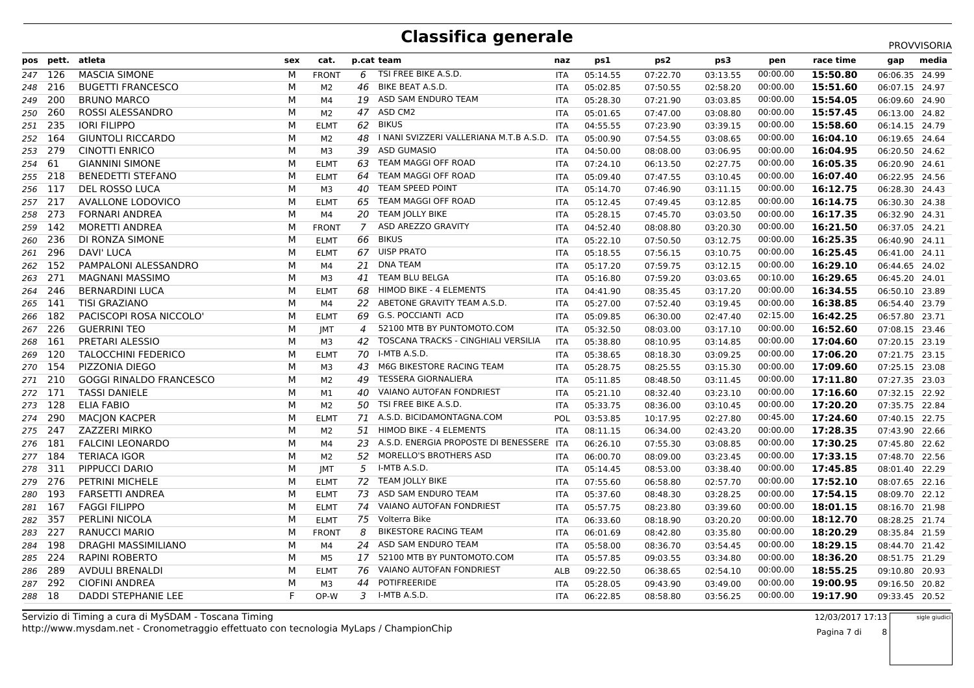PROVVISORIA

|         |       | pos pett. atleta               | sex | cat.           |                  | p.cat team                               | naz        | ps1      | ps2      | ps3      | pen      | race time | gap            | media |
|---------|-------|--------------------------------|-----|----------------|------------------|------------------------------------------|------------|----------|----------|----------|----------|-----------|----------------|-------|
| 247 126 |       | <b>MASCIA SIMONE</b>           | М   | <b>FRONT</b>   | 6                | TSI FREE BIKE A.S.D.                     | ITA        | 05:14.55 | 07:22.70 | 03:13.55 | 00:00.00 | 15:50.80  | 06:06.35 24.99 |       |
| 248     | 216   | <b>BUGETTI FRANCESCO</b>       | М   | M <sub>2</sub> | 46               | <b>BIKE BEAT A.S.D.</b>                  | ITA        | 05:02.85 | 07:50.55 | 02:58.20 | 00:00.00 | 15:51.60  | 06:07.15       | 24.97 |
| 249     | 200   | <b>BRUNO MARCO</b>             | М   | M <sub>4</sub> | 19               | ASD SAM ENDURO TEAM                      | ITA        | 05:28.30 | 07:21.90 | 03:03.85 | 00:00.00 | 15:54.05  | 06:09.60       | 24.90 |
| 250     | 260   | ROSSI ALESSANDRO               | M   | M <sub>2</sub> | 47               | ASD CM2                                  | <b>ITA</b> | 05:01.65 | 07:47.00 | 03:08.80 | 00:00.00 | 15:57.45  | 06:13.00       | 24.82 |
| 251 235 |       | <b>IORI FILIPPO</b>            | M   | <b>ELMT</b>    | 62               | <b>BIKUS</b>                             | <b>ITA</b> | 04:55.55 | 07:23.90 | 03:39.15 | 00:00.00 | 15:58.60  | 06:14.15       | 24.79 |
| 252 164 |       | <b>GIUNTOLI RICCARDO</b>       | M   | M2             | 48               | I NANI SVIZZERI VALLERIANA M.T.B A.S.D.  | <b>ITA</b> | 05:00.90 | 07:54.55 | 03:08.65 | 00:00.00 | 16:04.10  | 06:19.65       | 24.64 |
| 253 279 |       | <b>CINOTTI ENRICO</b>          | M   | M3             | 39               | <b>ASD GUMASIO</b>                       | <b>ITA</b> | 04:50.00 | 08:08.00 | 03:06.95 | 00:00.00 | 16:04.95  | 06:20.50 24.62 |       |
| 254     | -61   | <b>GIANNINI SIMONE</b>         | М   | <b>ELMT</b>    | 63               | TEAM MAGGI OFF ROAD                      | ITA        | 07:24.10 | 06:13.50 | 02:27.75 | 00:00.00 | 16:05.35  | 06:20.90       | 24.61 |
| 255     | 218   | <b>BENEDETTI STEFANO</b>       | M   | <b>ELMT</b>    | 64               | TEAM MAGGI OFF ROAD                      | <b>ITA</b> | 05:09.40 | 07:47.55 | 03:10.45 | 00:00.00 | 16:07.40  | 06:22.95       | 24.56 |
| 256 117 |       | DEL ROSSO LUCA                 | M   | M3             | 40               | <b>TEAM SPEED POINT</b>                  | <b>ITA</b> | 05:14.70 | 07:46.90 | 03:11.15 | 00:00.00 | 16:12.75  | 06:28.30       | 24.43 |
| 257 217 |       | AVALLONE LODOVICO              | М   | <b>ELMT</b>    | 65               | TEAM MAGGI OFF ROAD                      | ITA        | 05:12.45 | 07:49.45 | 03:12.85 | 00:00.00 | 16:14.75  | 06:30.30 24.38 |       |
| 258 273 |       | <b>FORNARI ANDREA</b>          | М   | M4             | 20               | <b>TEAM JOLLY BIKE</b>                   | ITA        | 05:28.15 | 07:45.70 | 03:03.50 | 00:00.00 | 16:17.35  | 06:32.90       | 24.31 |
| 259 142 |       | MORETTI ANDREA                 | М   | <b>FRONT</b>   | 7                | ASD AREZZO GRAVITY                       | ITA        | 04:52.40 | 08:08.80 | 03:20.30 | 00:00.00 | 16:21.50  | 06:37.05       | 24.21 |
| 260     | -236  | DI RONZA SIMONE                | М   | <b>ELMT</b>    | 66               | <b>BIKUS</b>                             | ITA        | 05:22.10 | 07:50.50 | 03:12.75 | 00:00.00 | 16:25.35  | 06:40.90 24.11 |       |
| 261     | 296   | <b>DAVI' LUCA</b>              | M   | <b>ELMT</b>    | 67               | <b>UISP PRATO</b>                        | ITA        | 05:18.55 | 07:56.15 | 03:10.75 | 00:00.00 | 16:25.45  | 06:41.00 24.11 |       |
| 262     | - 152 | PAMPALONI ALESSANDRO           | M   | M4             | 21               | <b>DNA TEAM</b>                          | <b>ITA</b> | 05:17.20 | 07:59.75 | 03:12.15 | 00:00.00 | 16:29.10  | 06:44.65       | 24.02 |
| 263     | -271  | <b>MAGNANI MASSIMO</b>         | M   | M3             |                  | 41 TEAM BLU BELGA                        | <b>ITA</b> | 05:16.80 | 07:59.20 | 03:03.65 | 00:10.00 | 16:29.65  | 06:45.20 24.01 |       |
| 264     | 246   | <b>BERNARDINI LUCA</b>         | M   | <b>ELMT</b>    | 68               | HIMOD BIKE - 4 ELEMENTS                  | <b>ITA</b> | 04:41.90 | 08:35.45 | 03:17.20 | 00:00.00 | 16:34.55  | 06:50.10 23.89 |       |
| 265     | - 141 | <b>TISI GRAZIANO</b>           | M   | M4             | 22               | ABETONE GRAVITY TEAM A.S.D.              | <b>ITA</b> | 05:27.00 | 07:52.40 | 03:19.45 | 00:00.00 | 16:38.85  | 06:54.40 23.79 |       |
| 266 182 |       | PACISCOPI ROSA NICCOLO'        | M   | <b>ELMT</b>    | 69               | <b>G.S. POCCIANTI ACD</b>                | ITA        | 05:09.85 | 06:30.00 | 02:47.40 | 02:15.00 | 16:42.25  | 06:57.80       | 23.71 |
| 267     | 226   | <b>GUERRINI TEO</b>            | M   | <b>IMT</b>     | $\boldsymbol{A}$ | 52100 MTB BY PUNTOMOTO.COM               | <b>ITA</b> | 05:32.50 | 08:03.00 | 03:17.10 | 00:00.00 | 16:52.60  | 07:08.15 23.46 |       |
| 268     | 161   | PRETARI ALESSIO                | М   | M3             | 42               | TOSCANA TRACKS - CINGHIALI VERSILIA      | ITA        | 05:38.80 | 08:10.95 | 03:14.85 | 00:00.00 | 17:04.60  | 07:20.15 23.19 |       |
| 269     | 120   | <b>TALOCCHINI FEDERICO</b>     | M   | <b>ELMT</b>    | 70               | I-MTB A.S.D.                             | <b>ITA</b> | 05:38.65 | 08:18.30 | 03:09.25 | 00:00.00 | 17:06.20  | 07:21.75       | 23.15 |
| 270 154 |       | PIZZONIA DIEGO                 | M   | M3             | 43               | M6G BIKESTORE RACING TEAM                | <b>ITA</b> | 05:28.75 | 08:25.55 | 03:15.30 | 00:00.00 | 17:09.60  | 07:25.15 23.08 |       |
| 271 210 |       | <b>GOGGI RINALDO FRANCESCO</b> | М   | M2             | 49               | <b>TESSERA GIORNALIERA</b>               | ITA        | 05:11.85 | 08:48.50 | 03:11.45 | 00:00.00 | 17:11.80  | 07:27.35 23.03 |       |
| 272 171 |       | <b>TASSI DANIELE</b>           | М   | M1             | 40               | VAIANO AUTOFAN FONDRIEST                 | ITA        | 05:21.10 | 08:32.40 | 03:23.10 | 00:00.00 | 17:16.60  | 07:32.15 22.92 |       |
| 273 128 |       | <b>ELIA FABIO</b>              | М   | M <sub>2</sub> | 50               | TSI FREE BIKE A.S.D.                     | ITA        | 05:33.75 | 08:36.00 | 03:10.45 | 00:00.00 | 17:20.20  | 07:35.75 22.84 |       |
| 274 290 |       | <b>MACJON KACPER</b>           | М   | <b>ELMT</b>    |                  | 71 A.S.D. BICIDAMONTAGNA.COM             | POL        | 03:53.85 | 10:17.95 | 02:27.80 | 00:45.00 | 17:24.60  | 07:40.15 22.75 |       |
| 275 247 |       | <b>ZAZZERI MIRKO</b>           | М   | M2             | 51               | HIMOD BIKE - 4 ELEMENTS                  | <b>ITA</b> | 08:11.15 | 06:34.00 | 02:43.20 | 00:00.00 | 17:28.35  | 07:43.90 22.66 |       |
| 276 181 |       | <b>FALCINI LEONARDO</b>        | M   | M4             | 23               | A.S.D. ENERGIA PROPOSTE DI BENESSERE ITA |            | 06:26.10 | 07:55.30 | 03:08.85 | 00:00.00 | 17:30.25  | 07:45.80       | 22.62 |
| 277 184 |       | <b>TERIACA IGOR</b>            | M   | M2             |                  | 52 MORELLO'S BROTHERS ASD                | <b>ITA</b> | 06:00.70 | 08:09.00 | 03:23.45 | 00:00.00 | 17:33.15  | 07:48.70 22.56 |       |
| 278     | 311   | PIPPUCCI DARIO                 | M   | <b>IMT</b>     | 5                | I-MTB A.S.D.                             | <b>ITA</b> | 05:14.45 | 08:53.00 | 03:38.40 | 00:00.00 | 17:45.85  | 08:01.40 22.29 |       |
| 279 276 |       | PETRINI MICHELE                | M   | <b>ELMT</b>    | 72               | TEAM JOLLY BIKE                          | <b>ITA</b> | 07:55.60 | 06:58.80 | 02:57.70 | 00:00.00 | 17:52.10  | 08:07.65 22.16 |       |
| 280 193 |       | <b>FARSETTI ANDREA</b>         | М   | <b>ELMT</b>    | 73               | ASD SAM ENDURO TEAM                      | ITA        | 05:37.60 | 08:48.30 | 03:28.25 | 00:00.00 | 17:54.15  | 08:09.70 22.12 |       |
| 281 167 |       | <b>FAGGI FILIPPO</b>           | M   | <b>ELMT</b>    | 74               | VAIANO AUTOFAN FONDRIEST                 | ITA        | 05:57.75 | 08:23.80 | 03:39.60 | 00:00.00 | 18:01.15  | 08:16.70 21.98 |       |
| 282 357 |       | PERLINI NICOLA                 | М   | <b>ELMT</b>    | 75               | Volterra Bike                            | ITA        | 06:33.60 | 08:18.90 | 03:20.20 | 00:00.00 | 18:12.70  | 08:28.25 21.74 |       |
| 283     | - 227 | RANUCCI MARIO                  | M   | <b>FRONT</b>   | 8                | <b>BIKESTORE RACING TEAM</b>             | <b>ITA</b> | 06:01.69 | 08:42.80 | 03:35.80 | 00:00.00 | 18:20.29  | 08:35.84       | 21.59 |
| 284 198 |       | DRAGHI MASSIMILIANO            | М   | M4             | 24               | ASD SAM ENDURO TEAM                      | ITA        | 05:58.00 | 08:36.70 | 03:54.45 | 00:00.00 | 18:29.15  | 08:44.70 21.42 |       |
| 285 224 |       | <b>RAPINI ROBERTO</b>          | М   | M5             | 17               | 52100 MTB BY PUNTOMOTO.COM               | ITA        | 05:57.85 | 09:03.55 | 03:34.80 | 00:00.00 | 18:36.20  | 08:51.75 21.29 |       |
| 286 289 |       | <b>AVDULI BRENALDI</b>         | М   | <b>ELMT</b>    | 76               | VAIANO AUTOFAN FONDRIEST                 | ALB        | 09:22.50 | 06:38.65 | 02:54.10 | 00:00.00 | 18:55.25  | 09:10.80       | 20.93 |
| 287 292 |       | <b>CIOFINI ANDREA</b>          | M   | M3             | 44               | <b>POTIFREERIDE</b>                      | <b>ITA</b> | 05:28.05 | 09:43.90 | 03:49.00 | 00:00.00 | 19:00.95  | 09:16.50       | 20.82 |
| 288 18  |       | <b>DADDI STEPHANIE LEE</b>     | F   | OP-W           | 3                | I-MTB A.S.D.                             | <b>ITA</b> | 06:22.85 | 08:58.80 | 03:56.25 | 00:00.00 | 19:17.90  | 09:33.45 20.52 |       |
|         |       |                                |     |                |                  |                                          |            |          |          |          |          |           |                |       |

http://www.mysdam.net - Cronometraggio effettuato con tecnologia MyLaps / ChampionChipServizio di Timing a cura di MySDAM - Toscana Timing 12/03/2017 17:13

 8sigle giudici

Pagina 7 di